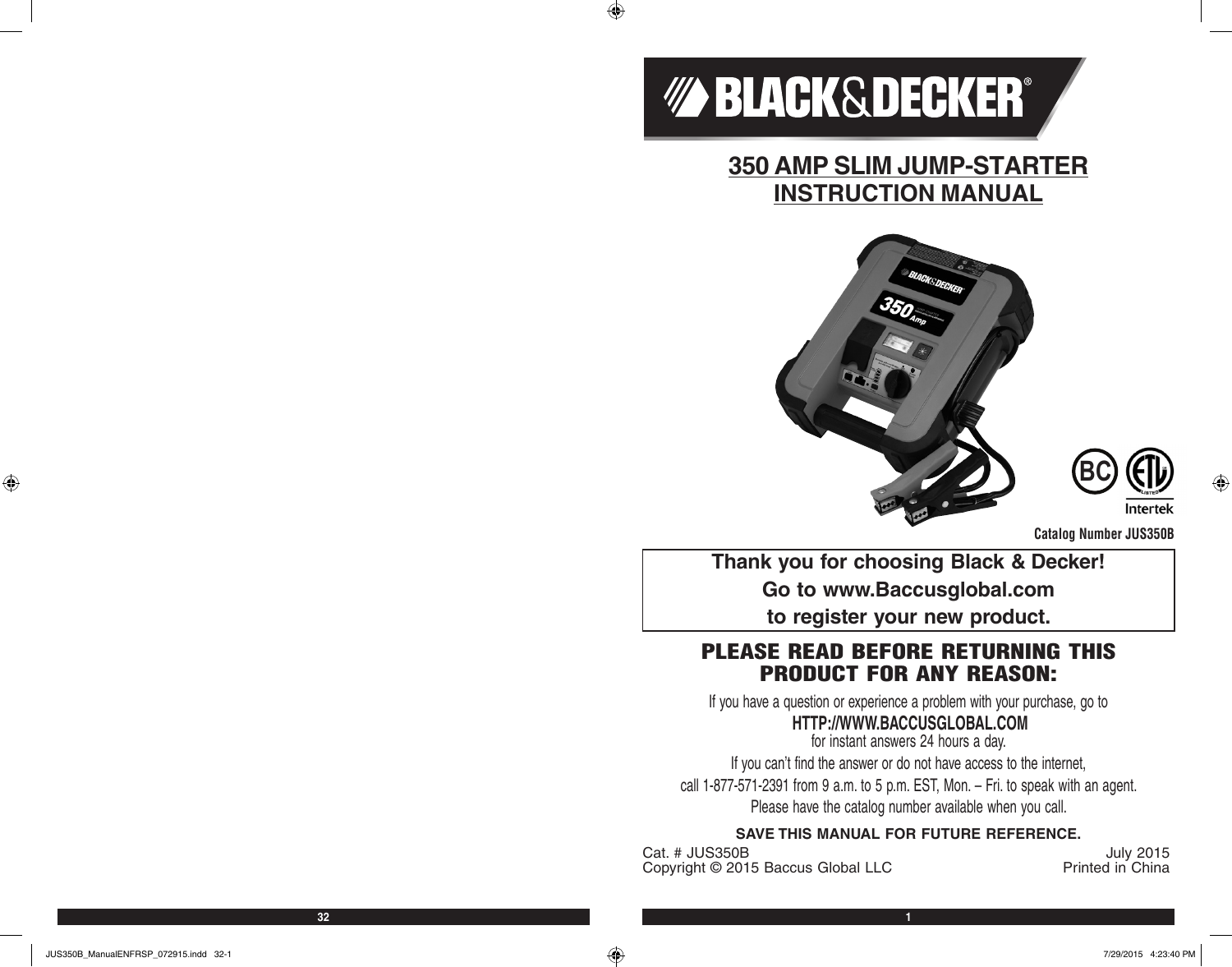

 $\bigoplus$ 

**350 AMP SLIM JUMP-STARTER INSTRUCTION MANUAL**





**Catalog Number JUS350B**

**Thank you for choosing Black & Decker! Go to www.Baccusglobal.com to register your new product.**

# PLEASE READ BEFORE RETURNING THIS PRODUCT FOR ANY REASON:

If you have a question or experience a problem with your purchase, go to

# **HTTP://WWW.BACCUSGLOBAL.COM**

for instant answers 24 hours a day. If you can't find the answer or do not have access to the internet, call 1-877-571-2391 from 9 a.m. to 5 p.m. EST, Mon. – Fri. to speak with an agent. Please have the catalog number available when you call.

### **SAVE THIS MANUAL FOR FUTURE REFERENCE.**

Cat. # JUS350B July 2015<br>Convright © 2015 Baccus Global LLC Printed in China Copyright © 2015 Baccus Global LLC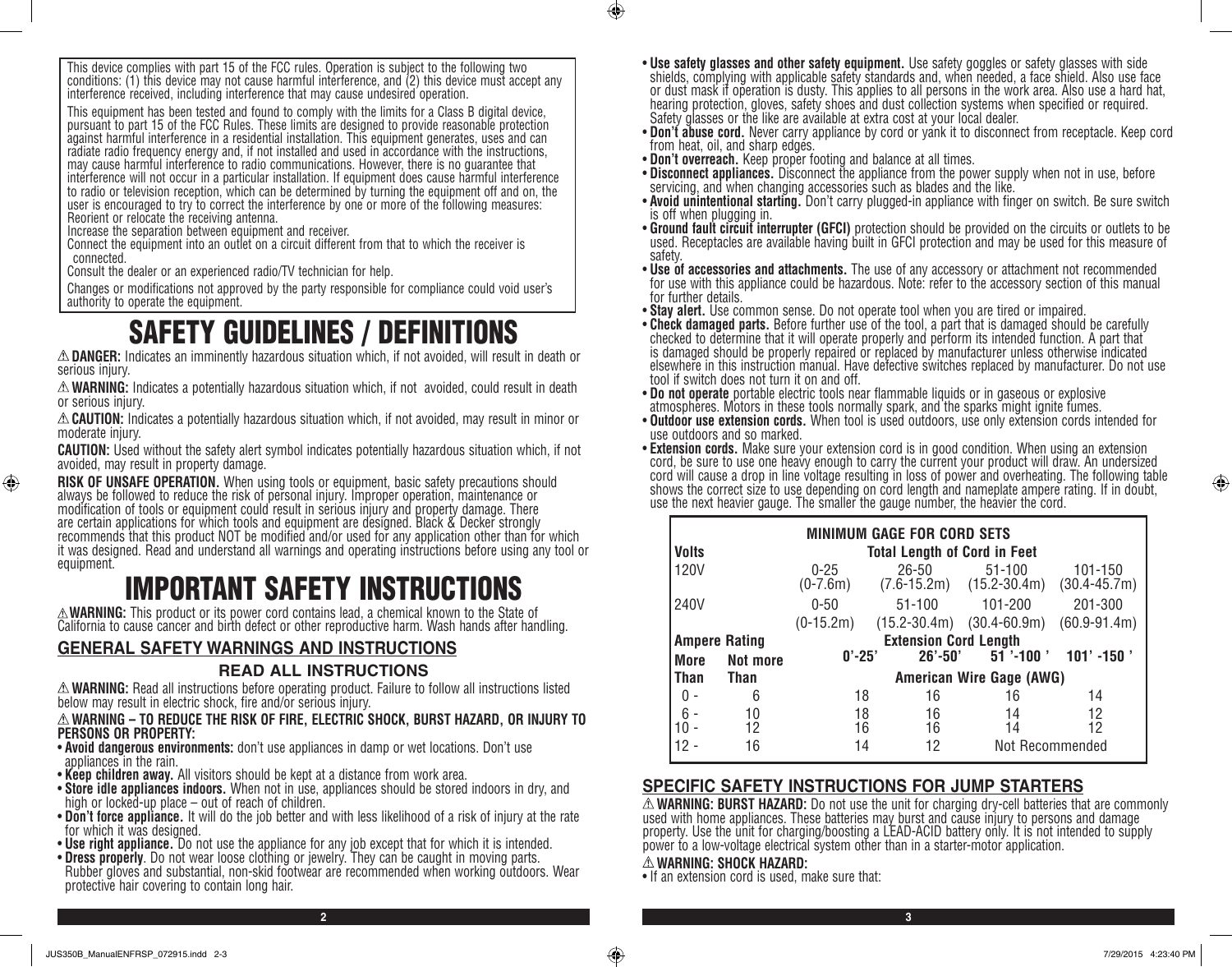This device complies with part 15 of the FCC rules. Operation is subject to the following two conditions: (1) this device may not cause harmful interference, and (2) this device must accept any interference received, including interference that may cause undesired operation.

This equipment has been tested and found to comply with the limits for a Class B digital device, pursuant to part 15 of the FCC Rules. These limits are designed to provide reasonable protection against harmful interference in a residential installation. This equipment generates, uses and can radiate radio frequency energy and, if not installed and used in accordance with the instructions, may cause harmful interference to radio communications. However, there is no guarantee that interference will not occur in a particular installation. If equipment does cause harmful interference to radio or television reception, which can be determined by turning the equipment off and on, the user is encouraged to try to correct the interference by one or more of the following measures: Reorient or relocate the receiving antenna.

Increase the separation between equipment and receiver.

Connect the equipment into an outlet on a circuit different from that to which the receiver is connected.

Consult the dealer or an experienced radio/TV technician for help.

Changes or modifications not approved by the party responsible for compliance could void user's authority to operate the equipment.

# SAFETY GUIDELINES / DEFINITIONS

**DANGER:** Indicates an imminently hazardous situation which, if not avoided, will result in death or serious injury.

**WARNING:** Indicates a potentially hazardous situation which, if not avoided, could result in death or serious injury.

**CAUTION:** Indicates a potentially hazardous situation which, if not avoided, may result in minor or moderate injury.

**CAUTION:** Used without the safety alert symbol indicates potentially hazardous situation which, if not avoided, may result in property damage.

**RISK OF UNSAFE OPERATION.** When using tools or equipment, basic safety precautions should<br>always be followed to reduce the risk of personal injury. Improper operation, maintenance or modification of tools or equipment could result in serious injury and property damage. There are certain applications for which tools and equipment are designed. Black & Decker strongly recommends that this product NOT be modified and/or used for any application other than for which it was designed. Read and understand all warnings and operating instructions before using any tool or equipment.

# **EXAMPERTANT SAFETY INSTRUCTIONS**<br>A WARNING: This product or its power cord contains lead, a chemical known to the State of

California to cause cancer and birth defect or other reproductive harm. Wash hands after handling.

# **GENERAL SAFETY WARNINGS AND INSTRUCTIONS READ ALL INSTRUCTIONS**

**WARNING:** Read all instructions before operating product. Failure to follow all instructions listed below may result in electric shock, fire and/or serious injury.

#### **WARNING – TO REDUCE THE RISK OF FIRE, ELECTRIC SHOCK, BURST HAZARD, OR INJURY TO PERSONS OR PROPERTY:**

- **Avoid dangerous environments:** don't use appliances in damp or wet locations. Don't use appliances in the rain.
- **Keep children away.** All visitors should be kept at a distance from work area.
- **Store idle appliances indoors.** When not in use, appliances should be stored indoors in dry, and high or locked-up place out of reach of children.
- **Don't force appliance.** It will do the job better and with less likelihood of a risk of injury at the rate for which it was designed.
- **Use right appliance.** Do not use the appliance for any job except that for which it is intended.
- Rubber gloves and substantial, non-skid footwear are recommended when working outdoors. Wear protective hair covering to contain long hair.
- **Use safety glasses and other safety equipment.** Use safety goggles or safety glasses with side shields, complying with applicable safety standards and, when needed, a face shield. Also use face or dust mask if operation is dusty. This applies to all persons in the work area. Also use a hard hat, hearing protection, gloves, safety shoes and dust collection systems when specified or required. Safety glasses or the like are available at extra cost at your local dealer.
- **Don't abuse cord.** Never carry appliance by cord or yank it to disconnect from receptacle. Keep cord from heat, oil, and sharp edges.
- 
- **Don't overreach.** Keep proper footing and balance at all times.<br>• **Disconnect appliances.** Disconnect the appliance from the power supply when not in use, before • **Disconnect appliances.** Disconnect the appliance from the power supply when not in use, before<br>servicing, and when changing accessories such as blades and the like.
- **Avoid unintentional starting.** Don't carry plugged-in appliance with finger on switch. Be sure switch is off when plugging in.
- **Ground fault circuit interrupter (GFCI)** protection should be provided on the circuits or outlets to be used. Receptacles are available having built in GFCI protection and may be used for this measure of safety.<br>• Use of accessories and attachments. The use of any accessory or attachment not recommended
- for use with this appliance could be hazardous. Note: refer to the accessory section of this manual for further details.
- **Stay alert.** Use common sense. Do not operate tool when you are tired or impaired.
- **Check damaged parts.** Before further use of the tool, a part that is damaged should be carefully checked to determine that it will operate properly and perform its intended function. A part that is damaged should be properly repaired or replaced by manufacturer unless otherwise indicated elsewhere in this instruction manual. Have defective switches replaced by manufacturer. Do not use
- tool if switch does not turn it on and off.<br>• Do not operate portable electric tools near flammable liquids or in gaseous or explosive atmospheres. Motors in these tools normally spark, and the sparks might ignite fumes.
- **Outdoor use extension cords.** When tool is used outdoors, use only extension cords intended for use outdoors and so marked.
- **Extension cords.** Make sure your extension cord is in good condition. When using an extension cord, be sure to use one heavy enough to carry the current your product will draw. An undersized cord will cause a drop in line voltage resulting in loss of power and overheating. The following table shows the correct size to use depending on cord length and nameplate ampere rating. If in doubt, use the next heavier gauge. The smaller the gauge number, the heavier the cord.

| <b>MINIMUM GAGE FOR CORD SETS</b><br>Volts<br><b>Total Length of Cord in Feet</b> |                                  |                          |                                                                                            |                                            |                             |  |
|-----------------------------------------------------------------------------------|----------------------------------|--------------------------|--------------------------------------------------------------------------------------------|--------------------------------------------|-----------------------------|--|
| 120V                                                                              |                                  | $0 - 25$<br>$(0-7.6m)$   | $26 - 50$                                                                                  | $51 - 100$<br>$(7.6-15.2m)$ $(15.2-30.4m)$ | 101-150<br>$(30.4 - 45.7m)$ |  |
| 240V                                                                              |                                  | $0 - 50$<br>$(0-15.2m)$  | $51 - 100$<br>$(15.2 - 30.4m)$                                                             | 101-200<br>$(30.4 - 60.9m)$                | 201-300<br>$(60.9 - 91.4m)$ |  |
| <b>More</b>                                                                       | <b>Ampere Rating</b><br>Not more |                          | <b>Extension Cord Length</b><br>$51$ '-100 '<br>$0' - 25'$<br>$101' - 150'$<br>$26' - 50'$ |                                            |                             |  |
| <b>Than</b>                                                                       | <b>Than</b>                      | American Wire Gage (AWG) |                                                                                            |                                            |                             |  |
|                                                                                   | 6                                | 18                       | 16                                                                                         | 16                                         | 14                          |  |
| $6 -$                                                                             | 10<br>12<br>16                   | 18<br>16<br>14           | 16<br>16<br>12                                                                             | 14<br>14<br>Not Recommended                | 12<br>12                    |  |

## **SPECIFIC SAFETY INSTRUCTIONS FOR JUMP STARTERS**

**WARNING: BURST HAZARD:** Do not use the unit for charging dry-cell batteries that are commonly used with home appliances. These batteries may burst and cause injury to persons and damage property. Use the unit for charging/boosting a LEAD-ACID battery only. It is not intended to supply power to a low-voltage electrical system other than in a starter-motor application.

#### **WARNING: SHOCK HAZARD:**

**2 3**

 $\bigcirc$ 

• If an extension cord is used, make sure that:

⊕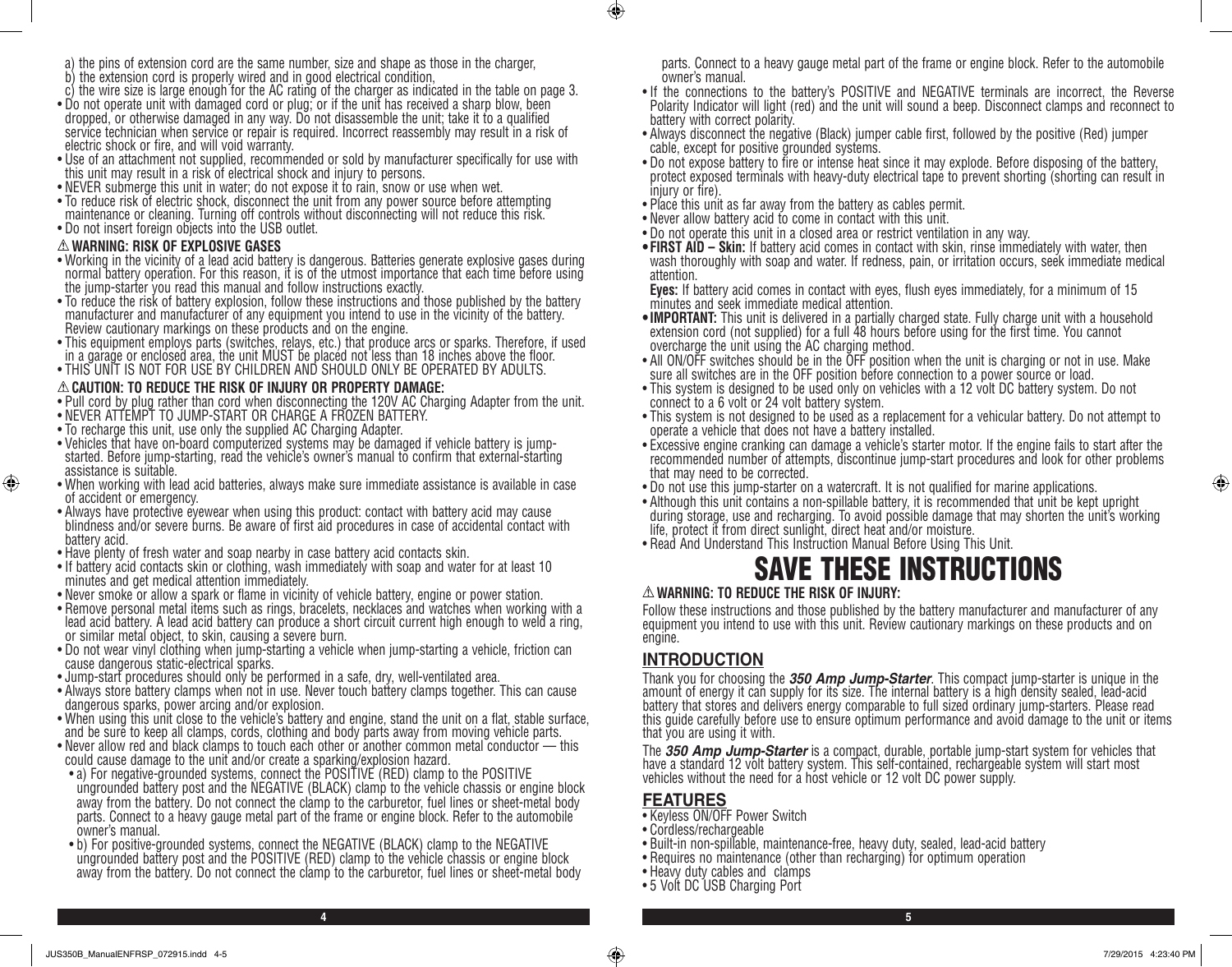- c) the wire size is large enough for the AC rating of the charger as indicated in the table on page 3.
- Do not operate unit with damaged cord or plug; or if the unit has received a sharp blow, been dropped, or otherwise damaged in any way. Do not disassemble the unit; take it to a qualified service technician when service or repair is required. Incorrect reassembly may result in a risk of electric shock or fire, and will void warranty.
- Use of an attachment not supplied, recommended or sold by manufacturer specifically for use with this unit may result in a risk of electrical shock and injury to persons.
- NEVER submerge this unit in water; do not expose it to rain, snow or use when wet.
- To reduce risk of electric shock, disconnect the unit from any power source before attempting maintenance or cleaning. Turning off controls without disconnecting will not reduce this risk.
- Do not insert foreign objects into the USB outlet.

#### **WARNING: RISK OF EXPLOSIVE GASES**

 $\bigoplus$ 

- Working in the vicinity of a lead acid battery is dangerous. Batteries generate explosive gases during normal battery operation. For this reason, it is of the utmost importance that each time before using the jump-starter you read this manual and follow instructions exactly.
- To reduce the risk of battery explosion, follow these instructions and those published by the battery manufacturer and manufacturer of any equipment you intend to use in the vicinity of the battery. Review cautionary markings on these products and on the engine.
- This equipment employs parts (switches, relays, etc.) that produce arcs or sparks. Therefore, if used in a garage or enclosed area, the unit MUST be placed not less than 18 inches above the floor.
- THIS UNIT IS NOT FOR USE BY CHILDREN AND SHOULD ONLY BE OPERATED BY ADULTS.

#### **CAUTION: TO REDUCE THE RISK OF INJURY OR PROPERTY DAMAGE:**

- Pull cord by plug rather than cord when disconnecting the 120V AC Charging Adapter from the unit.
- NEVER ATTEMPT TO JUMP-START OR CHARGE A FROZEN BATTERY.
- To recharge this unit, use only the supplied AC Charging Adapter.
- Vehicles that have on-board computerized systems may be damaged if vehicle battery is jumpstarted. Before jump-starting, read the vehicle's owner's manual to confirm that external-starting assistance is suitable.
- When working with lead acid batteries, always make sure immediate assistance is available in case of accident or emergency.
- Always have protective eyewear when using this product: contact with battery acid may cause blindness and/or severe burns. Be aware of first aid procedures in case of accidental contact with battery acid.
- Have plenty of fresh water and soap nearby in case battery acid contacts skin.
- If battery acid contacts skin or clothing, wash immediately with soap and water for at least 10 minutes and get medical attention immediately.
- Never smoke or allow a spark or flame in vicinity of vehicle battery, engine or power station.
- Remove personal metal items such as rings, bracelets, necklaces and watches when working with a lead acid battery. A lead acid battery can produce a short circuit current high enough to weld a ring, or similar metal object, to skin, causing a severe burn.
- Do not wear vinyl clothing when jump-starting a vehicle when jump-starting a vehicle, friction can cause dangerous static-electrical sparks.
- Jump-start procedures should only be performed in a safe, dry, well-ventilated area.
- Always store battery clamps when not in use. Never touch battery clamps together. This can cause dangerous sparks, power arcing and/or explosion.
- When using this unit close to the vehicle's battery and engine, stand the unit on a flat, stable surface, and be sure to keep all clamps, cords, clothing and body parts away from moving vehicle parts.
- Never allow red and black clamps to touch each other or another common metal conductor this could cause damage to the unit and/or create a sparking/explosion hazard.
- a) For negative-grounded systems, connect the POSITIVE (RED) clamp to the POSITIVE ungrounded battery post and the NEGATIVE (BLACK) clamp to the vehicle chassis or engine block away from the battery. Do not connect the clamp to the carburetor, fuel lines or sheet-metal body parts. Connect to a heavy gauge metal part of the frame or engine block. Refer to the automobile owner's manual.
- b) For positive-grounded systems, connect the NEGATIVE (BLACK) clamp to the NEGATIVE ungrounded battery post and the POSITIVE (RED) clamp to the vehicle chassis or engine block away from the battery. Do not connect the clamp to the carburetor, fuel lines or sheet-metal body

parts. Connect to a heavy gauge metal part of the frame or engine block. Refer to the automobile owner's manual.

- If the connections to the battery's POSITIVE and NEGATIVE terminals are incorrect, the Reverse Polarity Indicator will light (red) and the unit will sound a beep. Disconnect clamps and reconnect to battery with correct polarity.
- Always disconnect the negative (Black) jumper cable first, followed by the positive (Red) jumper cable, except for positive grounded systems.
- Do not expose battery to fire or intense heat since it may explode. Before disposing of the battery, protect exposed terminals with heavy-duty electrical tape to prevent shorting (shorting can result in injury or fire).
- Place this unit as far away from the battery as cables permit.
- Never allow battery acid to come in contact with this unit.
- Do not operate this unit in a closed area or restrict ventilation in any way.
- **• FIRST AID Skin:** If battery acid comes in contact with skin, rinse immediately with water, then wash thoroughly with soap and water. If redness, pain, or irritation occurs, seek immediate medical attention.

**Eyes:** If battery acid comes in contact with eyes, flush eyes immediately, for a minimum of 15 minutes and seek immediate medical attention.

- •**IMPORTANT:** This unit is delivered in a partially charged state. Fully charge unit with a household extension cord (not supplied) for a full 48 hours before using for the first time. You cannot overcharge the unit using the AC charging method.
- All ON/OFF switches should be in the OFF position when the unit is charging or not in use. Make sure all switches are in the OFF position before connection to a power source or load.
- This system is designed to be used only on vehicles with a 12 volt DC battery system. Do not connect to a 6 volt or 24 volt battery system.
- This system is not designed to be used as a replacement for a vehicular battery. Do not attempt to operate a vehicle that does not have a battery installed.
- Excessive engine cranking can damage a vehicle's starter motor. If the engine fails to start after the recommended number of attempts, discontinue jump-start procedures and look for other problems that may need to be corrected.
- Do not use this jump-starter on a watercraft. It is not qualified for marine applications.
- Although this unit contains a non-spillable battery, it is recommended that unit be kept upright during storage, use and recharging. To avoid possible damage that may shorten the unit's working life, protect it from direct sunlight, direct heat and/or moisture.
- Read And Understand This Instruction Manual Before Using This Unit.

# SAVE THESE INSTRUCTIONS

#### **WARNING: TO REDUCE THE RISK OF INJURY:**

Follow these instructions and those published by the battery manufacturer and manufacturer of any equipment you intend to use with this unit. Review cautionary markings on these products and on engine.

# **INTRODUCTION**

Thank you for choosing the *350 Amp Jump-Starter*. This compact jump-starter is unique in the amount of energy it can supply for its size. The internal battery is a high density sealed, lead-acid battery that stores and delivers energy comparable to full sized ordinary jump-starters. Please read this guide carefully before use to ensure optimum performance and avoid damage to the unit or items that you are using it with.

The *350 Amp Jump-Starter* is a compact, durable, portable jump-start system for vehicles that have a standard 12 volt battery system. This self-contained, rechargeable system will start most vehicles without the need for a host vehicle or 12 volt DC power supply.

## **FEATURES**

**4 5**

 $\circledast$ 

- Keyless ON/OFF Power Switch
- Cordless/rechargeable
- Built-in non-spillable, maintenance-free, heavy duty, sealed, lead-acid battery
- Requires no maintenance (other than recharging) for optimum operation
- Heavy duty cables and clamps
- 5 Volt DC USB Charging Port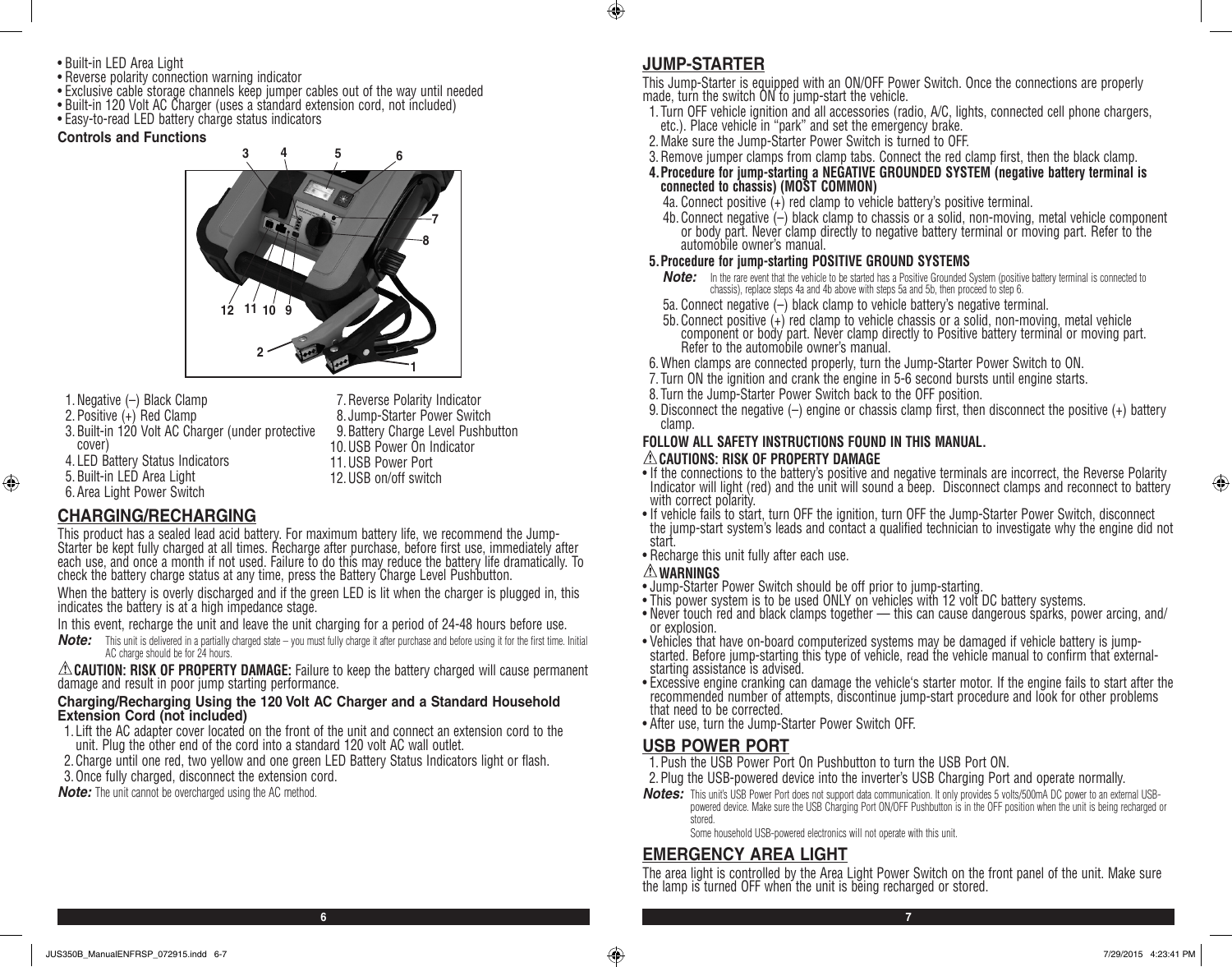- Built-in LED Area Light
- Reverse polarity connection warning indicator
- Exclusive cable storage channels keep jumper cables out of the way until needed
- Built-in 120 Volt AC Charger (uses a standard extension cord, not included)
- Easy-to-read LED battery charge status indicators

#### **Controls and Functions**



1.Negative (–) Black Clamp 2.Positive (+) Red Clamp 3.Built-in 120 Volt AC Charger (under protective cover) 4. LED Battery Status Indicators 5.Built-in LED Area Light 6.Area Light Power Switch

7.Reverse Polarity Indicator 8. Jump-Starter Power Switch 9.Battery Charge Level Pushbutton 10.USB Power On Indicator 11.USB Power Port 12.USB on/off switch

## **CHARGING/RECHARGING**

⊕

This product has a sealed lead acid battery. For maximum battery life, we recommend the Jump-Starter be kept fully charged at all times. Recharge after purchase, before first use, immediately after each use, and once a month if not used. Failure to do this may reduce the battery life dramatically. To check the battery charge status at any time, press the Battery Charge Level Pushbutton.

When the battery is overly discharged and if the green LED is lit when the charger is plugged in, this indicates the battery is at a high impedance stage.

In this event, recharge the unit and leave the unit charging for a period of 24-48 hours before use.

*Note:* This unit is delivered in a partially charged state – you must fully charge it after purchase and before using it for the first time. Initial AC charge should be for 24 hours.

**CAUTION: RISK OF PROPERTY DAMAGE:** Failure to keep the battery charged will cause permanent damage and result in poor jump starting performance.

#### **Charging/Recharging Using the 120 Volt AC Charger and a Standard Household Extension Cord (not included)**

- 1. Lift the AC adapter cover located on the front of the unit and connect an extension cord to the unit. Plug the other end of the cord into a standard 120 volt AC wall outlet.
- 2.Charge until one red, two yellow and one green LED Battery Status Indicators light or flash.
- 3. Once fully charged, disconnect the extension cord.
- *Note:* The unit cannot be overcharged using the AC method.

#### **JUMP-STARTER**

 $\bigcirc$ 

This Jump-Starter is equipped with an ON/OFF Power Switch. Once the connections are properly made, turn the switch ON to jump-start the vehicle.

- 1. Turn OFF vehicle ignition and all accessories (radio, A/C, lights, connected cell phone chargers, etc.). Place vehicle in "park" and set the emergency brake.
- 2.Make sure the Jump-Starter Power Switch is turned to OFF.
- 3.Remove jumper clamps from clamp tabs. Connect the red clamp first, then the black clamp.
- **4.Procedure for jump-starting a NEGATIVE GROUNDED SYSTEM (negative battery terminal is connected to chassis) (MOST COMMON)**
	- 4a. Connect positive (+) red clamp to vehicle battery's positive terminal.
	- 4b. Connect negative  $\left(\frac{1}{2}\right)$  black clamp to chassis or a solid, non-moving, metal vehicle component or body part. Never clamp directly to negative battery terminal or moving part. Refer to the automobile owner's manual.

#### **5.Procedure for jump-starting POSITIVE GROUND SYSTEMS**

- *Note:* In the rare event that the vehicle to be started has a Positive Grounded System (positive battery terminal is connected to chassis), replace steps 4a and 4b above with steps 5a and 5b, then proceed to step 6.
- 5a. Connect negative (–) black clamp to vehicle battery's negative terminal.
- 5b. Connect positive (+) red clamp to vehicle chassis or a solid, non-moving, metal vehicle component or body part. Never clamp directly to Positive battery terminal or moving part. Refer to the automobile owner's manual.
- 6.When clamps are connected properly, turn the Jump-Starter Power Switch to ON.
- 7. Turn ON the ignition and crank the engine in 5-6 second bursts until engine starts.
- 8. Turn the Jump-Starter Power Switch back to the OFF position.
- 9.Disconnect the negative (–) engine or chassis clamp first, then disconnect the positive (+) battery clamp.

#### **FOLLOW ALL SAFETY INSTRUCTIONS FOUND IN THIS MANUAL. CAUTIONS: RISK OF PROPERTY DAMAGE**

- If the connections to the battery's positive and negative terminals are incorrect, the Reverse Polarity Indicator will light (red) and the unit will sound a beep. Disconnect clamps and reconnect to battery with correct polarity.
- If vehicle fails to start, turn OFF the ignition, turn OFF the Jump-Starter Power Switch, disconnect the jump-start system's leads and contact a qualified technician to investigate why the engine did not start.
- Recharge this unit fully after each use.

- **WARNINGS** Jump-Starter Power Switch should be off prior to jump-starting.
- This power system is to be used ONLY on vehicles with 12 volt DC battery systems.
- Never touch red and black clamps together this can cause dangerous sparks, power arcing, and/ or explosion.
- Vehicles that have on-board computerized systems may be damaged if vehicle battery is jumpstarted. Before jump-starting this type of vehicle, read the vehicle manual to confirm that externalstarting assistance is advised.
- Excessive engine cranking can damage the vehicle's starter motor. If the engine fails to start after the recommended number of attempts, discontinue jump-start procedure and look for other problems that need to be corrected.
- After use, turn the Jump-Starter Power Switch OFF.

#### **USB POWER PORT**

**6 7**

- 1.Push the USB Power Port On Pushbutton to turn the USB Port ON.
- 2.Plug the USB-powered device into the inverter's USB Charging Port and operate normally.
- *Notes:* This unit's USB Power Port does not support data communication. It only provides 5 volts/500mA DC power to an external USBpowered device. Make sure the USB Charging Port ON/OFF Pushbutton is in the OFF position when the unit is being recharged or stored.

Some household USB-powered electronics will not operate with this unit.

#### **EMERGENCY AREA LIGHT**

The area light is controlled by the Area Light Power Switch on the front panel of the unit. Make sure the lamp is turned OFF when the unit is being recharged or stored.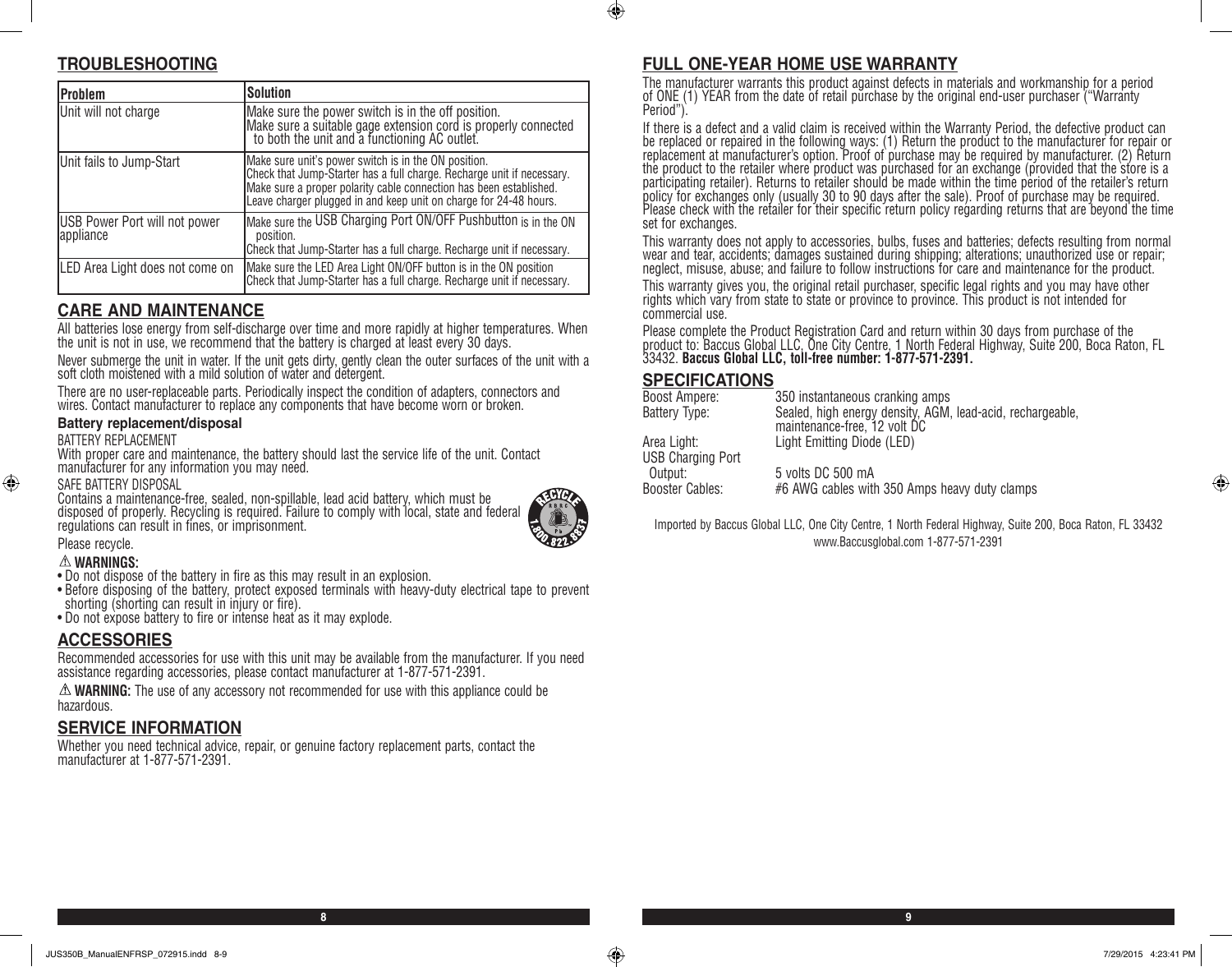### $\bigcirc$

# **TROUBLESHOOTING**

| <b>Problem</b>                             | <b>Solution</b>                                                                                                                                                                                                                                                           |
|--------------------------------------------|---------------------------------------------------------------------------------------------------------------------------------------------------------------------------------------------------------------------------------------------------------------------------|
| Unit will not charge                       | Make sure the power switch is in the off position.<br>Make sure a suitable gage extension cord is properly connected<br>to both the unit and a functioning AC outlet.                                                                                                     |
| Unit fails to Jump-Start                   | Make sure unit's power switch is in the ON position.<br>Check that Jump-Starter has a full charge. Recharge unit if necessary.<br>Make sure a proper polarity cable connection has been established.<br>Leave charger plugged in and keep unit on charge for 24-48 hours. |
| USB Power Port will not power<br>appliance | Make sure the USB Charging Port ON/OFF Pushbutton is in the ON<br>position.<br>Check that Jump-Starter has a full charge. Recharge unit if necessary.                                                                                                                     |
| LED Area Light does not come on            | Make sure the LED Area Light ON/OFF button is in the ON position<br>Check that Jump-Starter has a full charge. Recharge unit if necessary.                                                                                                                                |

## **CARE AND MAINTENANCE**

All batteries lose energy from self-discharge over time and more rapidly at higher temperatures. When the unit is not in use, we recommend that the battery is charged at least every 30 days.

Never submerge the unit in water. If the unit gets dirty, gently clean the outer surfaces of the unit with a soft cloth moistened with a mild solution of water and detergent.

There are no user-replaceable parts. Periodically inspect the condition of adapters, connectors and wires. Contact manufacturer to replace any components that have become worn or broken.

#### **Battery replacement/disposal**

BATTERY REPLACEMENT

With proper care and maintenance, the battery should last the service life of the unit. Contact manufacturer for any information you may need.

#### SAFE BATTERY DISPOSAL

⊕

Contains a maintenance-free, sealed, non-spillable, lead acid battery, which must be disposed of properly. Recycling is required. Failure to comply with local, state and federal regulations can result in fines, or imprisonment.



**8 9**

#### Please recycle. **WARNINGS:**

- Do not dispose of the battery in fire as this may result in an explosion.
- Before disposing of the battery, protect exposed terminals with heavy-duty electrical tape to prevent shorting (shorting can result in injury or fire).
- Do not expose battery to fire or intense heat as it may explode.

#### **ACCESSORIES**

Recommended accessories for use with this unit may be available from the manufacturer. If you need assistance regarding accessories, please contact manufacturer at 1-877-571-2391.

**WARNING:** The use of any accessory not recommended for use with this appliance could be hazardous.

#### **SERVICE INFORMATION**

Whether you need technical advice, repair, or genuine factory replacement parts, contact the manufacturer at 1-877-571-2391.

# **FULL ONE-YEAR HOME USE WARRANTY**

The manufacturer warrants this product against defects in materials and workmanship for a period of ONE (1) YEAR from the date of retail purchase by the original end-user purchaser ("Warranty Period").

If there is a defect and a valid claim is received within the Warranty Period, the defective product can be replaced or repaired in the following ways: (1) Return the product to the manufacturer for repair or replacement at manufacturer's option. Proof of purchase may be required by manufacturer. (2) Return the product to the retailer where product was purchased for an exchange (provided that the store is a participating retailer). Returns to retailer should be made within the time period of the retailer's return policy for exchanges only (usually 30 to 90 days after the sale). Proof of purchase may be required. Please check with the retailer for their specific return policy regarding returns that are beyond the time set for exchanges.

This warranty does not apply to accessories, bulbs, fuses and batteries; defects resulting from normal wear and tear, accidents; damages sustained during shipping; alterations; unauthorized use or repair; neglect, misuse, abuse; and failure to follow instructions for care and maintenance for the product.

This warranty gives you, the original retail purchaser, specific legal rights and you may have other rights which vary from state to state or province to province. This product is not intended for commercial use.

Please complete the Product Registration Card and return within 30 days from purchase of the product to: Baccus Global LLC, One City Centre, 1 North Federal Highway, Suite 200, Boca Raton, FL 33432. **Baccus Global LLC, toll-free number: 1-877-571-2391.** 

#### **SPECIFICATIONS**

| Boost Ampere:                           | 350 instantaneous cranking amps                                                            |
|-----------------------------------------|--------------------------------------------------------------------------------------------|
| Battery Type:                           | Sealed, high energy density, AGM, lead-acid, rechargeable,<br>maintenance-free, 12 volt DC |
| Area Light:<br><b>USB Charging Port</b> | Light Emitting Diode (LED)                                                                 |
| Output:<br>Booster Cables:              | 5 volts DC 500 mA<br>#6 AWG cables with 350 Amps heavy duty clamps                         |

Imported by Baccus Global LLC, One City Centre, 1 North Federal Highway, Suite 200, Boca Raton, FL 33432 www.Baccusglobal.com 1-877-571-2391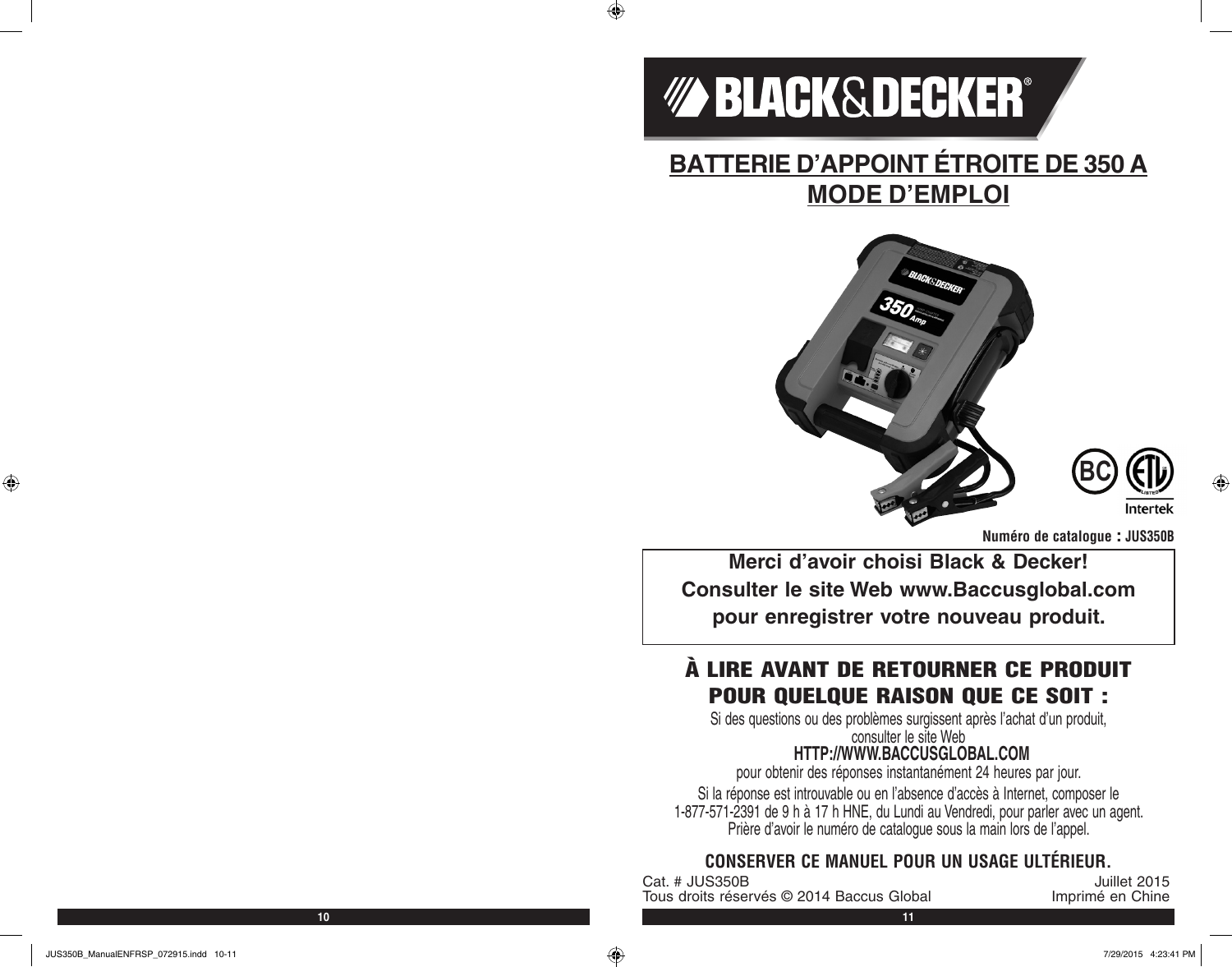

 $\bigoplus$ 

# **BATTERIE D'APPOINT ÉTROITE DE 350 A MODE D'EMPLOI**





**Numéro de catalogue : JUS350B**

**Merci d'avoir choisi Black & Decker! Consulter le site Web www.Baccusglobal.com pour enregistrer votre nouveau produit.**

# À LIRE AVANT DE RETOURNER CE PRODUIT POUR QUELQUE RAISON QUE CE SOIT :

Si des questions ou des problèmes surgissent après l'achat d'un produit, consulter le site Web

# **HTTP://WWW.BACCUSGLOBAL.COM**

pour obtenir des réponses instantanément 24 heures par jour.

Si la réponse est introuvable ou en l'absence d'accès à Internet, composer le 1-877-571-2391 de 9 h à 17 h HNE, du Lundi au Vendredi, pour parler avec un agent. Prière d'avoir le numéro de catalogue sous la main lors de l'appel.

# **CONSERVER CE MANUEL POUR UN USAGE ULTÉRIEUR.**

Unillet 2015<br>Tous droits réservés © 2014 Baccus Global de l'annoitre des Chines<br>Jerus de l'annuit de l'année de Chine Tous droits réservés © 2014 Baccus Global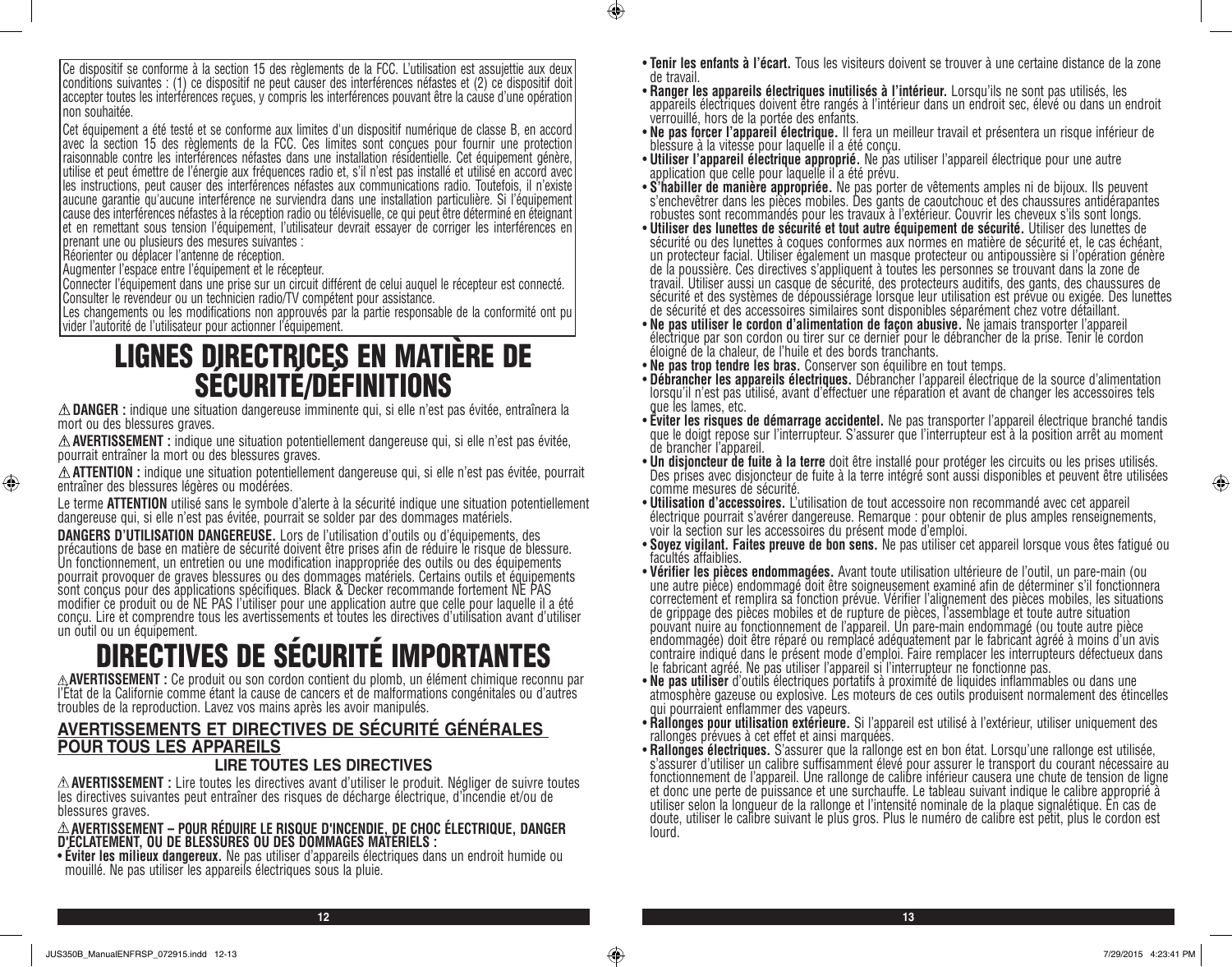Ce dispositif se conforme à la section 15 des règlements de la FCC. L'utilisation est assujettie aux deux conditions suivantes : (1) ce dispositif ne peut causer des interférences néfastes et (2) ce dispositif doit accepter toutes les interférences reçues, y compris les interférences pouvant être la cause d'une opération non souhaitée.

Cet équipement a été testé et se conforme aux limites d'un dispositif numérique de classe B, en accord avec la section 15 des règlements de la FCC. Ces limites sont conçues pour fournir une protection raisonnable contre les interférences néfastes dans une installation résidentielle. Cet équipement génère, utilise et peut émettre de l'énergie aux fréquences radio et, s'il n'est pas installé et utilisé en accord avec les instructions, peut causer des interférences néfastes aux communications radio. Toutefois, il n'existe aucune garantie qu'aucune interférence ne surviendra dans une installation particulière. Si l'équipement cause des interférences néfastes à la réception radio ou télévisuelle, ce qui peut être déterminé en éteignant et en remettant sous tension l'équipement, l'utilisateur devrait essayer de corriger les interférences en prenant une ou plusieurs des mesures suivantes :

Réorienter ou déplacer l'antenne de réception.

⊕

Augmenter l'espace entre l'équipement et le récepteur.

Connecter l'équipement dans une prise sur un circuit différent de celui auquel le récepteur est connecté. Consulter le revendeur ou un technicien radio/TV compétent pour assistance.

Les changements ou les modifications non approuvés par la partie responsable de la conformité ont pu vider l'autorité de l'utilisateur pour actionner l'équipement.

# LIGNES DIRECTRICES EN MATIÈRE DE SÉCURITÉ/DÉFINITIONS

**DANGER :** indique une situation dangereuse imminente qui, si elle n'est pas évitée, entraînera la mort ou des blessures graves.

**AVERTISSEMENT :** indique une situation potentiellement dangereuse qui, si elle n'est pas évitée, pourrait entraîner la mort ou des blessures graves.

**ATTENTION :** indique une situation potentiellement dangereuse qui, si elle n'est pas évitée, pourrait entraîner des blessures légères ou modérées.

Le terme **ATTENTION** utilisé sans le symbole d'alerte à la sécurité indique une situation potentiellement dangereuse qui, si elle n'est pas évitée, pourrait se solder par des dommages matériels.

**DANGERS D'UTILISATION DANGEREUSE.** Lors de l'utilisation d'outils ou d'équipements, des précautions de base en matière de sécurité doivent être prises afin de réduire le risque de blessure. Un fonctionnement, un entretien ou une modification inappropriée des outils ou des équipements pourrait provoquer de graves blessures ou des dommages matériels. Certains outils et équipements sont conçus pour des applications spécifiques. Black & Decker recommande fortement NE PAS modifier ce produit ou de NE PAS l'utiliser pour une application autre que celle pour laquelle il a été conçu. Lire et comprendre tous les avertissements et toutes les directives d'utilisation avant d'utiliser un outil ou un équipement.

# **DIRECTIVES DE SÉCURITÉ IMPORTANTES**<br>A AVERTISSEMENT : Ce produit ou son cordon contient du plomb, un élément chimique reconnu par

l'Etat de la Californie comme étant la cause de cancers et de malformations congénitales ou d'autres troubles de la reproduction. Lavez vos mains après les avoir manipulés.

# **AVERTISSEMENTS ET DIRECTIVES DE SÉCURITÉ GÉNÉRALES POUR TOUS LES APPAREILS**

#### **LIRE TOUTES LES DIRECTIVES**

**AVERTISSEMENT :** Lire toutes les directives avant d'utiliser le produit. Négliger de suivre toutes les directives suivantes peut entraîner des risques de décharge électrique, d'incendie et/ou de blessures graves.

# **AVERTISSEMENT – POUR RÉDUIRE LE RISQUE D'INCENDIE, DE CHOC ÉLECTRIQUE, DANGER D'ÉCLATEMENT, OU DE BLESSURES OU DES DOMMAGES MATÉRIELS :**

• **Éviter les milieux dangereux.** Ne pas utiliser d'appareils électriques dans un endroit humide ou mouillé. Ne pas utiliser les appareils électriques sous la pluie.

- **Tenir les enfants à l'écart.** Tous les visiteurs doivent se trouver à une certaine distance de la zone
- de travail.<br>• **Ranger les appareils électriques inutilisés à l'intérieur.** Lorsqu'ils ne sont pas utilisés, les appareils électriques doivent être rangés à l'intérieur dans un endroit sec, élevé ou dans un endroit verrouillé, hors de la portée des enfants.
- **Ne pas forcer l'appareil électrique.** Il fera un meilleur travail et présentera un risque inférieur de blessure à la vitesse pour laquelle il a été conçu.
- **Utiliser l'appareil électrique approprié.** Ne pas utiliser l'appareil électrique pour une autre application que celle pour laquelle il a été prévu.
- **S'habiller de manière appropriée.** Ne pas porter de vêtements amples ni de bijoux. Ils peuvent s'enchevêtrer dans les pièces mobiles. Des gants de caoutchouc et des chaussures antidérapantes robustes sont recommandés pour les travaux à l'extérieur. Couvrir les cheveux s'ils sont longs.
- **Utiliser des lunettes de sécurité et tout autre équipement de sécurité.** Utiliser des lunettes de sécurité ou des lunettes à coques conformes aux normes en matière de sécurité et, le cas échéant, un protecteur facial. Utiliser également un masque protecteur ou antipoussière si l'opération génère de la poussière. Ces directives s'appliquent à toutes les personnes se trouvant dans la zone de travail. Utiliser aussi un casque de sécurité, des protecteurs auditifs, des gants, des chaussures de sécurité et des systèmes de dépoussiérage lorsque leur utilisation est prévue ou exigée. Des lunettes de sécurité et des accessoires similaires sont disponibles séparément chez votre détaillant.<br>• Ne pas utiliser le cordon d'alimentation de facon abusive. Ne jamais transporter l'appareil
- électrique par son cordon ou tirer sur ce dernier pour le débrancher de la prise. Tenir le cordon éloigné de la chaleur, de l'huile et des bords tranchants.
- **Ne pas trop tendre les bras.** Conserver son équilibre en tout temps.
- **Débrancher les appareils électriques.** Débrancher l'appareil électrique de la source d'alimentation lorsqu'il n'est pas utilisé, avant d'effectuer une réparation et avant de changer les accessoires tels que les lames, etc.<br>• Éviter les risques de démarrage accidentel. Ne pas transporter l'appareil électrique branché tandis
- que le doigt repose sur l'interrupteur. S'assurer que l'interrupteur est à la position arrêt au moment de brancher l'appareil.<br>• **Un disjoncteur de fuite à la terre** doit être installé pour protéger les circuits ou les prises utilisés.
- Des prises avec disjoncteur de fuite à la terre intégré sont aussi disponibles et peuvent être utilisées comme mesures de sécurité.<br>• Utilisation d'accessoires. L'utilisation de tout accessoire non recommandé avec cet appareil
- **Utilisation d'accessoires.** L'utilisation de tout accessoire non recommandé avec cet appareil électrique pourrait s'avérer dangereuse. Remarque : pour obtenir de plus amples renseignements, voir la section sur les accessoires du présent mode d'emploi.
- **Soyez vigilant. Faites preuve de bon sens.** Ne pas utiliser cet appareil lorsque vous êtes fatigué ou<br>facultés affaiblies.
- **Vérifier les pièces endommagées.** Avant toute utilisation ultérieure de l'outil, un pare-main (ou une autre pièce) endommagé doit être soigneusement examiné afin de déterminer s'il fonctionnera correctement et remplira sa fonction prévue. Vérifier l'alignement des pièces mobiles, les situations de grippage des pièces mobiles et de rupture de pièces, l'assemblage et toute autre situation pouvant nuire au fonctionnement de l'appareil. Un pare-main endommagé (ou toute autre pièce endommagée) doit être réparé ou remplacé adéquatement par le fabricant agréé à moins d'un avis contraire indiqué dans le présent mode d'emploi. Faire remplacer les interrupteurs défectueux dans le fabricant agréé. Ne pas utiliser l'appareil si l'interrupteur ne fonctionne pas.
- **Ne pas utiliser** d'outils électriques portatifs à proximité de liquides inflammables ou dans une atmosphère gazeuse ou explosive. Les moteurs de ces outils produisent normalement des étincelles qui pourraient enflammer des vapeurs.
- **Rallonges pour utilisation extérieure.** Si l'appareil est utilisé à l'extérieur, utiliser uniquement des rallonges prévues à cet effet et ainsi marquées.
- **Rallonges électriques.** S'assurer que la rallonge est en bon état. Lorsqu'une rallonge est utilisée, s'assurer d'utiliser un calibre suffisamment élevé pour assurer le transport du courant nécessaire au fonctionnement de l'appareil. Une rallonge de calibre inférieur causera une chute de tension de ligne et donc une perte de puissance et une surchauffe. Le tableau suivant indique le calibre approprié à utiliser selon la longueur de la rallonge et l'intensité nominale de la plaque signalétique. En cas de doute, utiliser le calibre suivant le plus gros. Plus le numéro de calibre est petit, plus le cordon est lourd.

**12 13**

 $\bigcirc$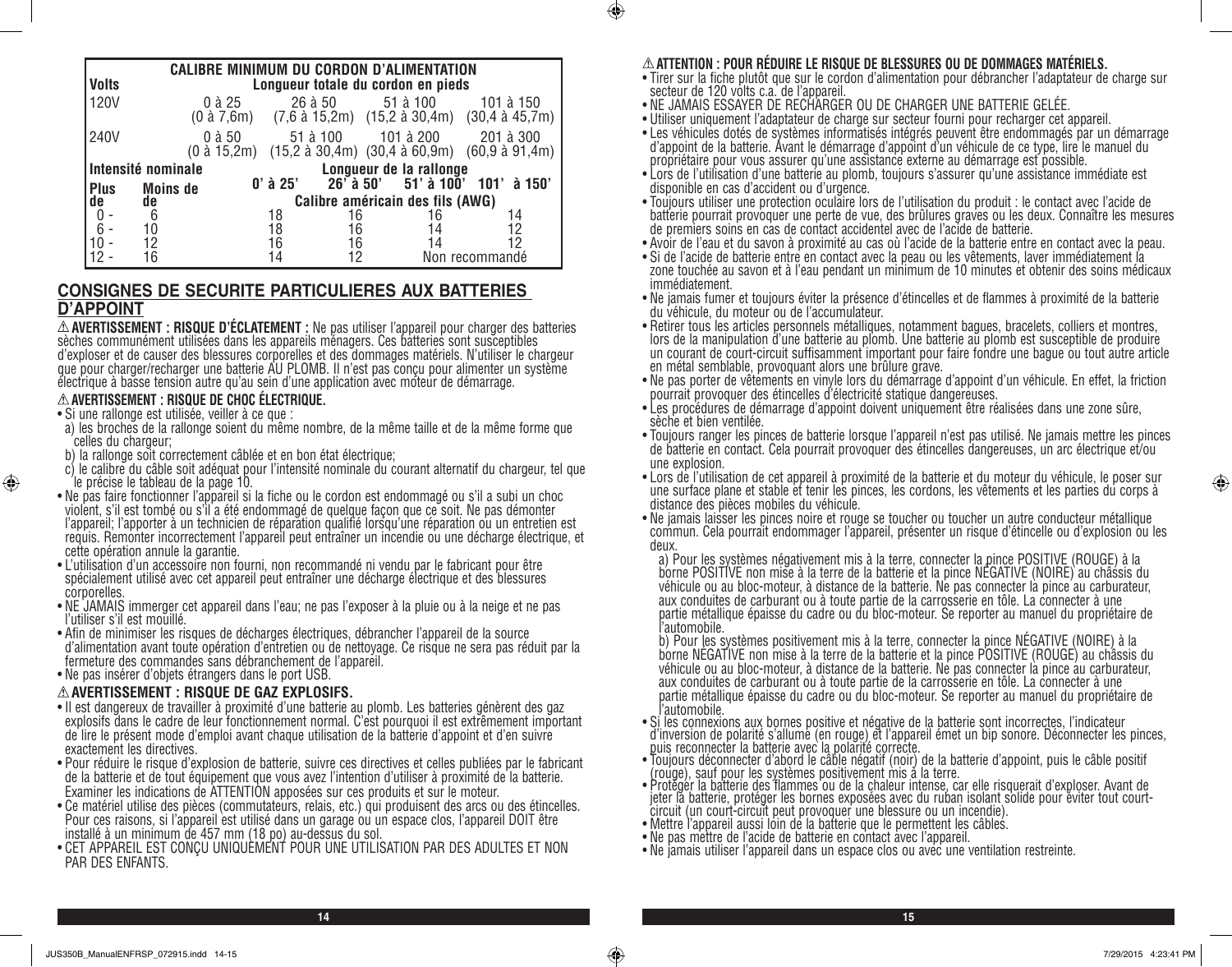| <b>CALIBRE MINIMUM DU CORDON D'ALIMENTATION</b> |                    |            |          |                                    |                                                                       |
|-------------------------------------------------|--------------------|------------|----------|------------------------------------|-----------------------------------------------------------------------|
| <b>Volts</b>                                    |                    |            |          | Longueur totale du cordon en pieds |                                                                       |
| <b>120V</b>                                     | 0 à 25             |            | 26 à 50  | 51 à 100                           | 101 à 150<br>(0 à 7,6m) (7,6 à 15,2m) (15,2 à 30,4m) (30,4 à 45,7m)   |
| 240V                                            | $0$ à $50$         |            | 51 à 100 | 101 à 200                          | 201 à 300<br>(0 à 15,2m) (15,2 à 30,4m) (30,4 à 60,9m) (60,9 à 91,4m) |
|                                                 | Intensité nominale |            |          | Longueur de la rallonge            |                                                                       |
| <b>Plus</b>                                     | <b>Moins de</b>    | $0'$ à 25' |          |                                    | 26 a 50' 51' à 100' 101' à 150'                                       |
| de                                              | de                 |            |          | Calibre américain des fils (AWG)   |                                                                       |
|                                                 | 6                  | 18         | 16       | 16                                 | 14                                                                    |
| $6^{\circ}$                                     | 10                 | 18         | 16       | 14                                 | 12                                                                    |
|                                                 | 12                 | 16         | 16       | 14                                 | 12                                                                    |
|                                                 | 16                 | 14         |          |                                    | Non recommandé                                                        |

#### **CONSIGNES DE SECURITE PARTICULIERES AUX BATTERIES D'APPOINT**

**AVERTISSEMENT : RISQUE D'ÉCLATEMENT :** Ne pas utiliser l'appareil pour charger des batteries sèches communément utilisées dans les appareils ménagers. Ces batteries sont susceptibles d'exploser et de causer des blessures corporelles et des dommages matériels. N'utiliser le chargeur que pour charger/recharger une batterie AU PLOMB. Il n'est pas conçu pour alimenter un système électrique à basse tension autre qu'au sein d'une application avec moteur de démarrage.

#### **AVERTISSEMENT : RISQUE DE CHOC ÉLECTRIQUE.**

• Si une rallonge est utilisée, veiller à ce que :

⊕

- a) les broches de la rallonge soient du même nombre, de la même taille et de la même forme que celles du chargeur;
- b) la rallonge soit correctement câblée et en bon état électrique;
- c) le calibre du câble soit adéquat pour l'intensité nominale du courant alternatif du chargeur, tel que le précise le tableau de la page 10.
- Ne pas faire fonctionner l'appareil si la fiche ou le cordon est endommagé ou s'il a subi un choc violent, s'il est tombé ou s'il a été endommagé de quelque façon que ce soit. Ne pas démonter l'appareil; l'apporter à un technicien de réparation qualifié lorsqu'une réparation ou un entretien est requis. Remonter incorrectement l'appareil peut entraîner un incendie ou une décharge électrique, et cette opération annule la garantie.
- L'utilisation d'un accessoire non fourni, non recommandé ni vendu par le fabricant pour être spécialement utilisé avec cet appareil peut entraîner une décharge électrique et des blessures corporelles.
- NE JAMAIS immerger cet appareil dans l'eau; ne pas l'exposer à la pluie ou à la neige et ne pas l'utiliser s'il est mouillé.
- Afin de minimiser les risques de décharges électriques, débrancher l'appareil de la source d'alimentation avant toute opération d'entretien ou de nettoyage. Ce risque ne sera pas réduit par la fermeture des commandes sans débranchement de l'appareil.
- Ne pas insérer d'objets étrangers dans le port USB.

#### **AVERTISSEMENT : RISQUE DE GAZ EXPLOSIFS.**

- Il est dangereux de travailler à proximité d'une batterie au plomb. Les batteries génèrent des gaz explosifs dans le cadre de leur fonctionnement normal. C'est pourquoi il est extrêmement important de lire le présent mode d'emploi avant chaque utilisation de la batterie d'appoint et d'en suivre exactement les directives.
- Pour réduire le risque d'explosion de batterie, suivre ces directives et celles publiées par le fabricant de la batterie et de tout équipement que vous avez l'intention d'utiliser à proximité de la batterie. Examiner les indications de ATTENTION apposées sur ces produits et sur le moteur.
- Ce matériel utilise des pièces (commutateurs, relais, etc.) qui produisent des arcs ou des étincelles. Pour ces raisons, si l'appareil est utilisé dans un garage ou un espace clos, l'appareil DOIT être installé à un minimum de 457 mm (18 po) au-dessus du sol.
- CET APPAREIL EST CONÇU UNIQUEMENT POUR UNE UTILISATION PAR DES ADULTES ET NON PAR DES ENFANTS.

#### **ATTENTION : POUR RÉDUIRE LE RISQUE DE BLESSURES OU DE DOMMAGES MATÉRIELS.**

- Tirer sur la fiche plutôt que sur le cordon d'alimentation pour débrancher l'adaptateur de charge sur secteur de 120 volts c.a. de l'appareil.
- NE JAMAIS ESSAYER DE RECHARGER OU DE CHARGER UNE BATTERIE GELÉE.
- Utiliser uniquement l'adaptateur de charge sur secteur fourni pour recharger cet appareil.
- Les véhicules dotés de systèmes informatisés intégrés peuvent être endommagés par un démarrage d'appoint de la batterie. Avant le démarrage d'appoint d'un véhicule de ce type, lire le manuel du propriétaire pour vous assurer qu'une assistance externe au démarrage est possible.
- Lors de l'utilisation d'une batterie au plomb, toujours s'assurer qu'une assistance immédiate est disponible en cas d'accident ou d'urgence.
- Toujours utiliser une protection oculaire lors de l'utilisation du produit : le contact avec l'acide de batterie pourrait provoquer une perte de vue, des brûlures graves ou les deux. Connaître les mesures de premiers soins en cas de contact accidentel avec de l'acide de batterie.
- Avoir de l'eau et du savon à proximité au cas où l'acide de la batterie entre en contact avec la peau.
- Si de l'acide de batterie entre en contact avec la peau ou les vêtements, laver immédiatement la zone touchée au savon et à l'eau pendant un minimum de 10 minutes et obtenir des soins médicaux immédiatement.
- Ne jamais fumer et toujours éviter la présence d'étincelles et de flammes à proximité de la batterie du véhicule, du moteur ou de l'accumulateur.
- Retirer tous les articles personnels métalliques, notamment bagues, bracelets, colliers et montres, lors de la manipulation d'une batterie au plomb. Une batterie au plomb est susceptible de produire un courant de court-circuit suffisamment important pour faire fondre une bague ou tout autre article en métal semblable, provoquant alors une brûlure grave.
- Ne pas porter de vêtements en vinyle lors du démarrage d'appoint d'un véhicule. En effet, la friction pourrait provoquer des étincelles d'électricité statique dangereuses.
- Les procédures de démarrage d'appoint doivent uniquement être réalisées dans une zone sûre, sèche et bien ventilée.
- Toujours ranger les pinces de batterie lorsque l'appareil n'est pas utilisé. Ne jamais mettre les pinces de batterie en contact. Cela pourrait provoquer des étincelles dangereuses, un arc électrique et/ou une explosion.
- Lors de l'utilisation de cet appareil à proximité de la batterie et du moteur du véhicule, le poser sur une surface plane et stable et tenir les pinces, les cordons, les vêtements et les parties du corps à distance des pièces mobiles du véhicule.
- Ne jamais laisser les pinces noire et rouge se toucher ou toucher un autre conducteur métallique commun. Cela pourrait endommager l'appareil, présenter un risque d'étincelle ou d'explosion ou les

deux.<br>a) Pour les systèmes négativement mis à la terre, connecter la pince POSITIVE (ROUGE) à la a) Pour les systèmes négativement mis à la terre, connecter la pince POSITIVE (ROUGE) à la<br>borne POSITIVE non mise à la terre de la batterie et la pince NÉGATIVE (NOIRE) au châssis du véhicule ou au bloc-moteur, à distance de la batterie. Ne pas connecter la pince au carburateur, aux conduites de carburant ou à toute partie de la carrosserie en tôle. La connecter à une partie métallique épaisse du cadre ou du bloc-moteur. Se reporter au manuel du propriétaire de

l'automobile.<br>b) Pour <u>les systè</u>mes positivement mis à la terre, connecter la <u>pince</u> NÉGATIVE (NOIRE) à la borne NÉGATIVE non mise à la terre de la batterie et la pince POSITIVE (ROUGE) au châssis du véhicule ou au bloc-moteur, à distance de la batterie. Ne pas connecter la pince au carburateur, aux conduites de carburant ou à toute partie de la carrosserie en tôle. La connecter à une partie métallique épaisse du cadre ou du bloc-moteur. Se reporter au manuel du propriétaire de

l'automobile. • Si les connexions aux bornes positive et négative de la batterie sont incorrectes, l'indicateur d'inversion de polarité s'allume (en rouge) et l'appareil émet un bip sonore. Déconnecter les pinces, puis reconnecter la batterie avec la polarité correcte.

- Toujours déconnecter d'abord le câble négatif (noir) de la batterie d'appoint, puis le câble positif (rouge), sauf pour les systèmes positivement mis à la terre.
- Protéger la batterie des flammes ou de la chaleur intense, car elle risquerait d'exploser. Avant de jeter la batterie, protéger les bornes exposées avec du ruban isolant solide pour éviter tout courtcircuit (un court-circuit peut provoquer une blessure ou un incendie).
- Mettre l'appareil aussi loin de la batterie que le permettent les câbles.
- Ne pas mettre de l'acide de batterie en contact avec l'appareil.
- Ne jamais utiliser l'appareil dans un espace clos ou avec une ventilation restreinte.

**14 15**

 $\bigcirc$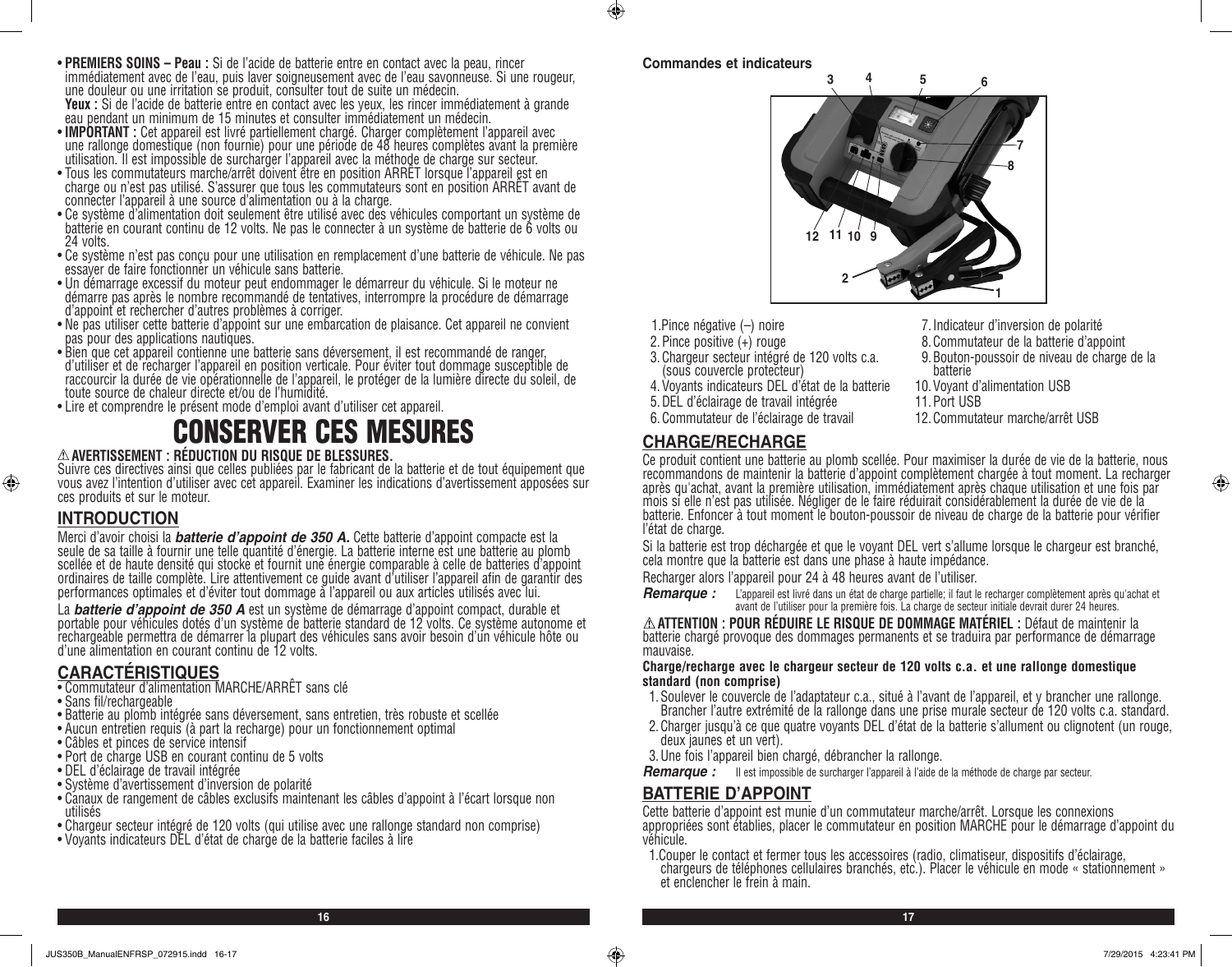- **PREMIERS SOINS Peau :** Si de l'acide de batterie entre en contact avec la peau, rincer immédiatement avec de l'eau, puis laver soigneusement avec de l'eau savonneuse. Si une rougeur, une douleur ou une irritation se produit, consulter tout de suite un médecin.<br>**Yeux** : Si de l'acide de batterie entre en contact avec les yeux, les rincer immédiatement à grande **Yeux :** Si de l'acide de batterie entre en contact avec les yeux, les rincer immédiatement à grande<br>eau pendant un minimum de 15 minutes et consulter immédiatement un médecin.
- **IMPORTANT :** Cet appareil est livré partiellement chargé. Charger complètement l'appareil avec une rallonge domestique (non fournie) pour une période de 48 heures complètes avant la première
- utilisation. Il est impossible de surcharger l'appareil avec la méthode de charge sur secteur.<br>• Tous les commutateurs marche/arrêt doivent être en position ARRÉT lorsque l'appareil est en • Tous les commutateurs marche/arrêt doivent être en position ARRET lorsque l'appareil est en<br>charge ou n'est pas utilisé. S'assurer que tous les commutateurs sont en position ARRÊT avant de connecter l'appareil à une source d'alimentation ou à la charge.
- Ce système d'alimentation doit seulement être utilisé avec des véhicules comportant un système de batterie en courant continu de 12 volts. Ne pas le connecter à un système de batterie de 6 volts ou 24 volts.
- Ce système n'est pas conçu pour une utilisation en remplacement d'une batterie de véhicule. Ne pas essayer de faire fonctionner un véhicule sans batterie.
- Un démarrage excessif du moteur peut endommager le démarreur du véhicule. Si le moteur ne démarre pas après le nombre recommandé de tentatives, interrompre la procédure de démarrage d'appoint et rechercher d'autres problèmes à corriger.
- Ne pas utiliser cette batterie d'appoint sur une embarcation de plaisance. Cet appareil ne convient pas pour des applications nautiques.
- Bien que cet appareil contienne une batterie sans déversement, il est recommandé de ranger, d'utiliser et de recharger l'appareil en position verticale. Pour éviter tout dommage susceptible de raccourcir la durée de vie opérationnelle de l'appareil, le protéger de la lumière directe du soleil, de toute source de chaleur directe et/ou de l'humidité.
- Lire et comprendre le présent mode d'emploi avant d'utiliser cet appareil.

# CONSERVER CES MESURES

#### **AVERTISSEMENT : RÉDUCTION DU RISQUE DE BLESSURES.**

Suivre ces directives ainsi que celles publiées par le fabricant de la batterie et de tout équipement que vous avez l'intention d'utiliser avec cet appareil. Examiner les indications d'avertissement apposées sur ces produits et sur le moteur.

# **INTRODUCTION**

⊕

Merci d'avoir choisi la *batterie d'appoint de 350 A.* Cette batterie d'appoint compacte est la<br>seule de sa taille à fournir une telle quantité d'énergie. La batterie interne est une batterie au plomb scellée et de haute densité qui stocke et fournit une énergie comparable à celle de batteries d'appoint ordinaires de taille complète. Lire attentivement ce guide avant d'utiliser l'appareil afin de garantir des performances optimales et d'éviter tout dommage à l'appareil ou aux articles utilisés avec lui.

La *batterie d'appoint de 350 A* est un système de démarrage d'appoint compact, durable et portable pour véhicules dotés d'un système de batterie standard de 12 volts. Ce système autonome et rechargeable permettra de démarrer la plupart des véhicules sans avoir besoin d'un véhicule hôte ou d'une alimentation en courant continu de 12 volts.

## **CARACTÉRISTIQUES**

- Commutateur d'alimentation MARCHE/ARRÊT sans clé
- Sans fil/rechargeable
- Batterie au plomb intégrée sans déversement, sans entretien, très robuste et scellée
- Aucun entretien requis (à part la recharge) pour un fonctionnement optimal
- Câbles et pinces de service intensif
- Port de charge USB en courant continu de 5 volts
- DEL d'éclairage de travail intégrée
- Système d'avertissement d'inversion de polarité
- Canaux de rangement de câbles exclusifs maintenant les câbles d'appoint à l'écart lorsque non utilisés
- Chargeur secteur intégré de 120 volts (qui utilise avec une rallonge standard non comprise)
- Voyants indicateurs DEL d'état de charge de la batterie faciles à lire

#### **Commandes et indicateurs**

 $\bigcirc$ 



- 1.Pince négative (–) noire
- 2.Pince positive (+) rouge
- 3.Chargeur secteur intégré de 120 volts c.a. (sous couvercle protecteur)
- 4.Voyants indicateurs DEL d'état de la batterie
- 5.DEL d'éclairage de travail intégrée
- 6.Commutateur de l'éclairage de travail

# **CHARGE/RECHARGE**

- 7.Indicateur d'inversion de polarité
- 8.Commutateur de la batterie d'appoint
- 9.Bouton-poussoir de niveau de charge de la batterie
- 10.Voyant d'alimentation USB
- 11.Port USB
- 12.Commutateur marche/arrêt USB

Ce produit contient une batterie au plomb scellée. Pour maximiser la durée de vie de la batterie, nous recommandons de maintenir la batterie d'appoint complètement chargée à tout moment. La recharger après qu'achat, avant la première utilisation, immédiatement après chaque utilisation et une fois par mois si elle n'est pas utilisée. Négliger de le faire réduirait considérablement la durée de vie de la batterie. Enfoncer à tout moment le bouton-poussoir de niveau de charge de la batterie pour vérifier l'état de charge.

Si la batterie est trop déchargée et que le voyant DEL vert s'allume lorsque le chargeur est branché, cela montre que la batterie est dans une phase à haute impédance.

Recharger alors l'appareil pour 24 à 48 heures avant de l'utiliser.

*Remarque :* L'appareil est livré dans un état de charge partielle; il faut le recharger complètement après qu'achat et avant de l'utiliser pour la première fois. La charge de secteur initiale devrait durer 24 heures.

**ATTENTION : POUR RÉDUIRE LE RISQUE DE DOMMAGE MATÉRIEL :** Défaut de maintenir la batterie chargé provoque des dommages permanents et se traduira par performance de démarrage mauvaise.

#### **Charge/recharge avec le chargeur secteur de 120 volts c.a. et une rallonge domestique standard (non comprise)**

- 1.Soulever le couvercle de l'adaptateur c.a., situé à l'avant de l'appareil, et y brancher une rallonge. Brancher l'autre extrémité de la rallonge dans une prise murale secteur de 120 volts c.a. standard.
- 2.Charger jusqu'à ce que quatre voyants DEL d'état de la batterie s'allument ou clignotent (un rouge, deux jaunes et un vert).
- 3.Une fois l'appareil bien chargé, débrancher la rallonge.
- *Remarque :* Il est impossible de surcharger l'appareil à l'aide de la méthode de charge par secteur.

## **BATTERIE D'APPOINT**

**16 17**

Cette batterie d'appoint est munie d'un commutateur marche/arrêt. Lorsque les connexions appropriées sont établies, placer le commutateur en position MARCHE pour le démarrage d'appoint du véhicule.

1.Couper le contact et fermer tous les accessoires (radio, climatiseur, dispositifs d'éclairage, chargeurs de téléphones cellulaires branchés, etc.). Placer le véhicule en mode « stationnement » et enclencher le frein à main.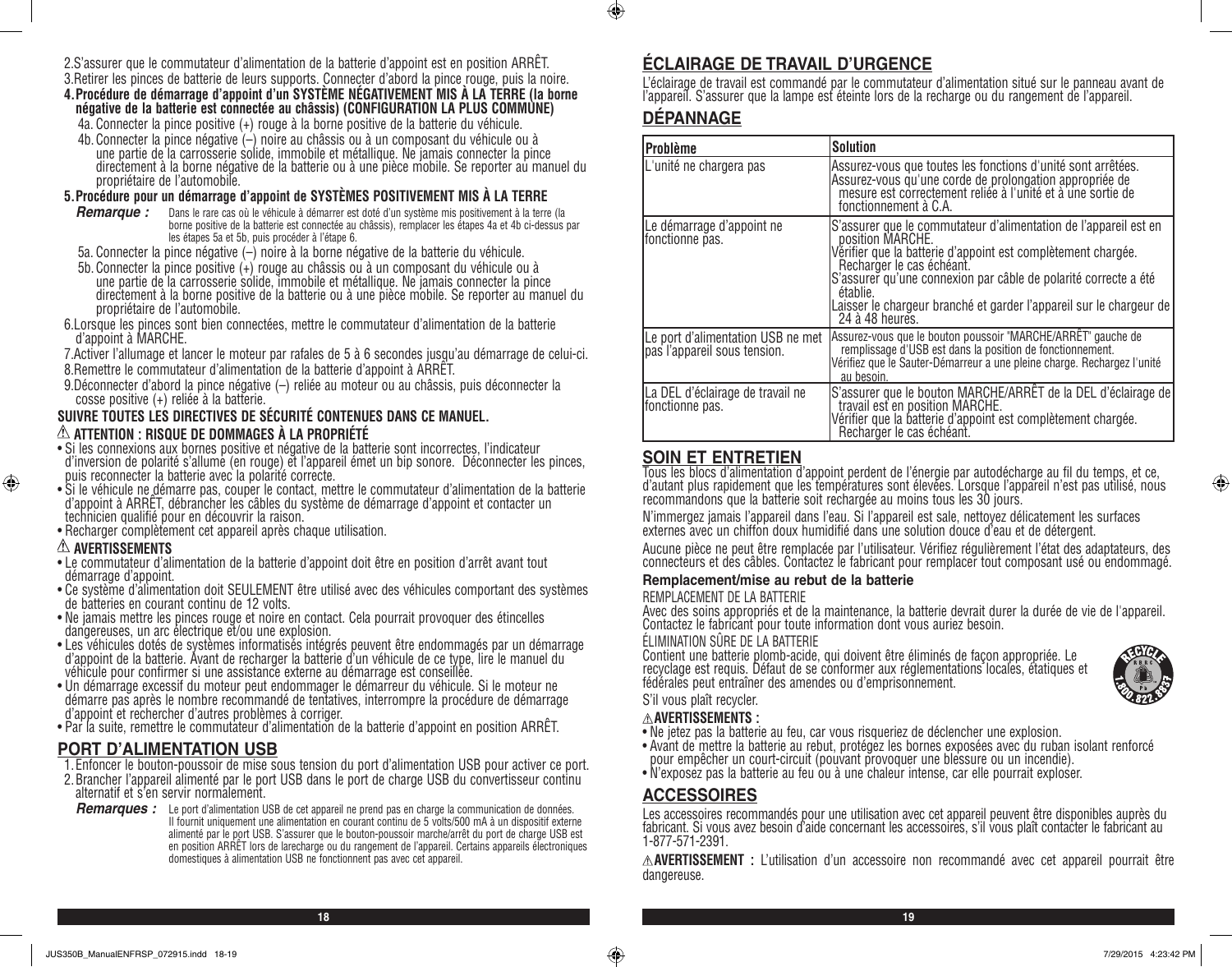- 2.S'assurer que le commutateur d'alimentation de la batterie d'appoint est en position ARRÊT.
- 3.Retirer les pinces de batterie de leurs supports. Connecter d'abord la pince rouge, puis la noire. **4.Procédure de démarrage d'appoint d'un SYSTÈME NÉGATIVEMENT MIS À LA TERRE (la borne négative de la batterie est connectée au châssis) (CONFIGURATION LA PLUS COMMUNE)**
	- 4a. Connecter la pince positive (+) rouge à la borne positive de la batterie du véhicule.
	- 4b.Connecter la pince négative (–) noire au châssis ou à un composant du véhicule ou à une partie de la carrosserie solide, immobile et métallique. Ne jamais connecter la pince directement à la borne négative de la batterie ou à une pièce mobile. Se reporter au manuel du propriétaire de l'automobile.

#### **5.Procédure pour un démarrage d'appoint de SYSTÈMES POSITIVEMENT MIS À LA TERRE**

- *Remarque :* Dans le rare cas où le véhicule à démarrer est doté d'un système mis positivement à la terre (la borne positive de la batterie est connectée au châssis), remplacer les étapes 4a et 4b ci-dessus par les étapes 5a et 5b, puis procéder à l'étape 6.
- 5a. Connecter la pince négative (–) noire à la borne négative de la batterie du véhicule.
- 5b.Connecter la pince positive (+) rouge au châssis ou à un composant du véhicule ou à une partie de la carrosserie solide, immobile et métallique. Ne jamais connecter la pince directement à la borne positive de la batterie ou à une pièce mobile. Se reporter au manuel du propriétaire de l'automobile.
- 6.Lorsque les pinces sont bien connectées, mettre le commutateur d'alimentation de la batterie d'appoint à MARCHE.
- 7.Activer l'allumage et lancer le moteur par rafales de 5 à 6 secondes jusqu'au démarrage de celui-ci.
- 8.Remettre le commutateur d'alimentation de la batterie d'appoint à ARRÊT.
- 9.Déconnecter d'abord la pince négative (–) reliée au moteur ou au châssis, puis déconnecter la cosse positive (+) reliée à la batterie.

#### **SUIVRE TOUTES LES DIRECTIVES DE SÉCURITÉ CONTENUES DANS CE MANUEL. ATTENTION : RISQUE DE DOMMAGES À LA PROPRIÉTÉ**

- Si les connexions aux bornes positive et négative de la batterie sont incorrectes, l'indicateur d'inversion de polarité s'allume (en rouge) et l'appareil émet un bip sonore. Déconnecter les pinces, puis reconnecter la batterie avec la polarité correcte.
- Si le véhicule ne démarre pas, couper le contact, mettre le commutateur d'alimentation de la batterie d'appoint à ARRÊT, débrancher les câbles du système de démarrage d'appoint et contacter un technicien qualifié pour en découvrir la raison.
- Recharger complètement cet appareil après chaque utilisation.

#### **AVERTISSEMENTS**

⊕

- Le commutateur d'alimentation de la batterie d'appoint doit être en position d'arrêt avant tout démarrage d'appoint.
- Ce système d'alimentation doit SEULEMENT être utilisé avec des véhicules comportant des systèmes de batteries en courant continu de 12 volts.
- Ne jamais mettre les pinces rouge et noire en contact. Cela pourrait provoquer des étincelles dangereuses, un arc électrique et/ou une explosion.
- Les véhicules dotés de systèmes informatisés intégrés peuvent être endommagés par un démarrage d'appoint de la batterie. Avant de recharger la batterie d'un véhicule de ce type, lire le manuel du véhicule pour confirmer si une assistance externe au démarrage est conseillée.
- Un démarrage excessif du moteur peut endommager le démarreur du véhicule. Si le moteur ne démarre pas après le nombre recommandé de tentatives, interrompre la procédure de démarrage d'appoint et rechercher d'autres problèmes à corriger.
- Par la suite, remettre le commutateur d'alimentation de la batterie d'appoint en position ARRÊT.

# **PORT D'ALIMENTATION USB**

- 1.Enfoncer le bouton-poussoir de mise sous tension du port d'alimentation USB pour activer ce port.
- 2.Brancher l'appareil alimenté par le port USB dans le port de charge USB du convertisseur continu alternatif et s'en servir normalement.
- *Remarques :* Le port d'alimentation USB de cet appareil ne prend pas en charge la communication de données. Il fournit uniquement une alimentation en courant continu de 5 volts/500 mA à un dispositif externe alimenté par le port USB. S'assurer que le bouton-poussoir marche/arrêt du port de charge USB est en position ARRÊT lors de larecharge ou du rangement de l'appareil. Certains appareils électroniques domestiques à alimentation USB ne fonctionnent pas avec cet appareil.

# **ÉCLAIRAGE DE TRAVAIL D'URGENCE**

L'éclairage de travail est commandé par le commutateur d'alimentation situé sur le panneau avant de l'appareil. S'assurer que la lampe est éteinte lors de la recharge ou du rangement de l'appareil.

# **DÉPANNAGE**

 $\bigcirc$ 

| Problème                                                          | <b>Solution</b>                                                                                                                                                                                                                                                                                                                                            |
|-------------------------------------------------------------------|------------------------------------------------------------------------------------------------------------------------------------------------------------------------------------------------------------------------------------------------------------------------------------------------------------------------------------------------------------|
| L'unité ne chargera pas                                           | Assurez-vous que toutes les fonctions d'unité sont arrêtées.<br>Assurez-vous qu'une corde de prolongation appropriée de<br>mesure est correctement reliée à l'unité et à une sortie de<br>fonctionnement à C.A.                                                                                                                                            |
| Le démarrage d'appoint ne<br>fonctionne pas.                      | S'assurer que le commutateur d'alimentation de l'appareil est en<br>position MARCHE.<br>Vérifier que la batterie d'appoint est complètement chargée.<br>Recharger le cas échéant.<br>S'assurer qu'une connexion par câble de polarité correcte a été<br>établie.<br>Laisser le chargeur branché et garder l'appareil sur le chargeur de<br>24 à 48 heures. |
| Le port d'alimentation USB ne met<br>pas l'appareil sous tension. | Assurez-vous que le bouton poussoir "MARCHE/ARRÊT" gauche de<br>remplissage d'USB est dans la position de fonctionnement.<br>Vérifiez que le Sauter-Démarreur a une pleine charge. Rechargez l'unité<br>au besoin.                                                                                                                                         |
| La DEL d'éclairage de travail ne<br>fonctionne pas.               | S'assurer que le bouton MARCHE/ARRÊT de la DEL d'éclairage de<br>travail est en position MARCHE.<br>Vérifier que la batterie d'appoint est complètement chargée.<br>Recharger le cas échéant.                                                                                                                                                              |

# **SOIN ET ENTRETIEN**

Tous les blocs d'alimentation d'appoint perdent de l'énergie par autodécharge au fil du temps, et ce, d'autant plus rapidement que les températures sont élevées. Lorsque l'appareil n'est pas utilisé, nous recommandons que la batterie soit rechargée au moins tous les 30 jours.

N'immergez jamais l'appareil dans l'eau. Si l'appareil est sale, nettoyez délicatement les surfaces externes avec un chiffon doux humidifié dans une solution douce d'eau et de détergent.

Aucune pièce ne peut être remplacée par l'utilisateur. Vérifiez régulièrement l'état des adaptateurs, des connecteurs et des câbles. Contactez le fabricant pour remplacer tout composant usé ou endommagé.

#### **Remplacement/mise au rebut de la batterie**

#### REMPLACEMENT DE LA BATTERIE

Avec des soins appropriés et de la maintenance, la batterie devrait durer la durée de vie de l'appareil. Contactez le fabricant pour toute information dont vous auriez besoin.

#### ÉLIMINATION SÛRE DE LA BATTERIE

Contient une batterie plomb-acide, qui doivent être éliminés de façon appropriée. Le recyclage est requis. Défaut de se conformer aux réglementations locales, étatiques et fédérales peut entraîner des amendes ou d'emprisonnement.



# S'il vous plaît recycler.

- **AVERTISSEMENTS :**
- Ne jetez pas la batterie au feu, car vous risqueriez de déclencher une explosion. • Avant de mettre la batterie au rebut, protégez les bornes exposées avec du ruban isolant renforcé
- pour empêcher un court-circuit (pouvant provoquer une blessure ou un incendie).
- N'exposez pas la batterie au feu ou à une chaleur intense, car elle pourrait exploser.

## **ACCESSOIRES**

**18 19**

Les accessoires recommandés pour une utilisation avec cet appareil peuvent être disponibles auprès du fabricant. Si vous avez besoin d'aide concernant les accessoires, s'il vous plaît contacter le fabricant au 1-877-571-2391.

**AVERTISSEMENT :** L'utilisation d'un accessoire non recommandé avec cet appareil pourrait être dangereuse.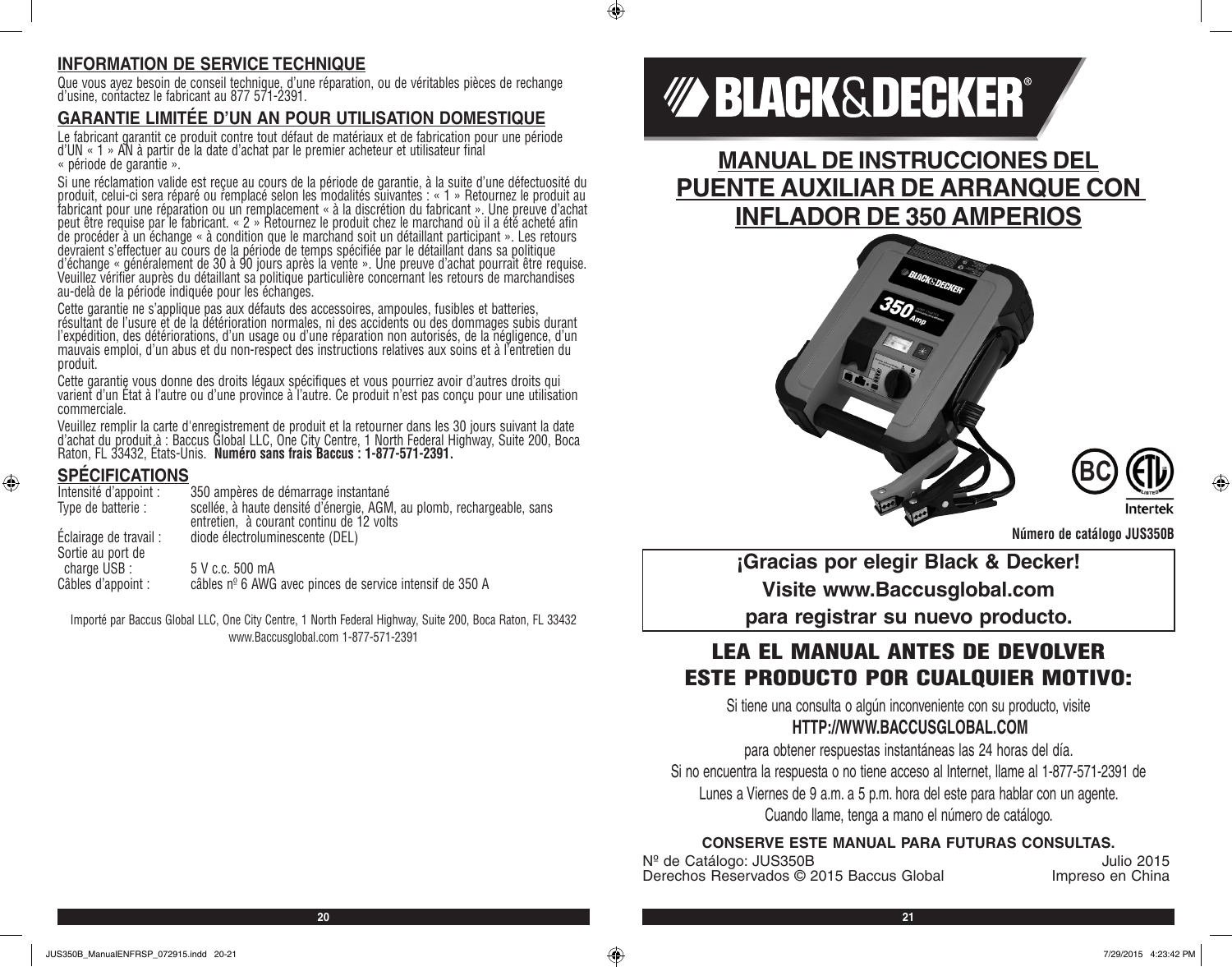# **INFORMATION DE SERVICE TECHNIQUE**

Que vous ayez besoin de conseil technique, d'une réparation, ou de véritables pièces de rechange d'usine, contactez le fabricant au 877 571-2391.

# **GARANTIE LIMITÉE D'UN AN POUR UTILISATION DOMESTIQUE**

Le fabricant garantit ce produit contre tout défaut de matériaux et de fabrication pour une période d'UN « 1 » AN à partir de la date d'achat par le premier acheteur et utilisateur final « période de garantie ».

Si une réclamation valide est reçue au cours de la période de garantie, à la suite d'une défectuosité du produit, celui-ci sera réparé ou remplacé selon les modalités suivantes : « 1 » Retournez le produit au fabricant pour une réparation ou un remplacement « à la discrétion du fabricant ». Une preuve d'achat peut être requise par le fabricant. « 2 » Retournez le produit chez le marchand où il a été acheté afin de procéder à un échange « à condition que le marchand soit un détaillant participant ». Les retours devraient s'effectuer au cours de la période de temps spécifiée par le détaillant dans sa politique d'échange « généralement de 30 à 90 jours après la vente ». Une preuve d'achat pourrait être requise. Veuillez vérifier auprès du détaillant sa politique particulière concernant les retours de marchandises au-delà de la période indiquée pour les échanges.

Cette garantie ne s'applique pas aux défauts des accessoires, ampoules, fusibles et batteries, résultant de l'usure et de la détérioration normales, ni des accidents ou des dommages subis durant l'expédition, des détériorations, d'un usage ou d'une réparation non autorisés, de la négligence, d'un mauvais emploi, d'un abus et du non-respect des instructions relatives aux soins et à l'entretien du produit.

Cette garantie vous donne des droits légaux spécifiques et vous pourriez avoir d'autres droits qui<br>varient d'un État à l'autre ou d'une province à l'autre. Ce produit n'est pas conçu pour une utilisation commerciale.

Veuillez remplir la carte d'enregistrement de produit et la retourner dans les 30 jours suivant la date d'achat du produit à : Baccus Global LLC, One City Centre, 1 North Federal Highway, Suite 200, Boca<br>Raton, FL 33432, États-Unis. **Numéro sans frais Baccus : 1-877-571-2391.** 

# **SPÉCIFICATIONS**

⊕

| Intensité d'appoint :                       | 350 ampères de démarrage instantané                                                                               |
|---------------------------------------------|-------------------------------------------------------------------------------------------------------------------|
| Type de batterie :                          | scellée, à haute densité d'énergie, AGM, au plomb, rechargeable, sans<br>entretien, à courant continu de 12 volts |
| Eclairage de travail :<br>Sortie au port de | diode électroluminescente (DEL)                                                                                   |
| charge USB :<br>Câbles d'appoint :          | 5 V c.c. 500 mA<br>câbles nº 6 AWG avec pinces de service intensif de 350 A                                       |

Importé par Baccus Global LLC, One City Centre, 1 North Federal Highway, Suite 200, Boca Raton, FL 33432 www.Baccusglobal.com 1-877-571-2391

# *MA BLACK&DECKER®*

**MANUAL DE INSTRUCCIONES DEL PUENTE AUXILIAR DE ARRANQUE CON INFLADOR DE 350 AMPERIOS**





**Número de catálogo JUS350B**

**¡Gracias por elegir Black & Decker! Visite www.Baccusglobal.com para registrar su nuevo producto.**

# LEA EL MANUAL ANTES DE DEVOLVER ESTE PRODUCTO POR CUALQUIER MOTIVO:

Si tiene una consulta o algún inconveniente con su producto, visite **HTTP://WWW.BACCUSGLOBAL.COM**

para obtener respuestas instantáneas las 24 horas del día. Si no encuentra la respuesta o no tiene acceso al Internet, llame al 1-877-571-2391 de Lunes a Viernes de 9 a.m. a 5 p.m. hora del este para hablar con un agente. Cuando llame, tenga a mano el número de catálogo.

#### **CONSERVE ESTE MANUAL PARA FUTURAS CONSULTAS.**

Nº de Catálogo: JUS350B<br>Derechos Reservados © 2015 Baccus Global de alternativo de la españa de la españa de la españa de la españa d Derechos Reservados © 2015 Baccus Global

 $\bigcirc$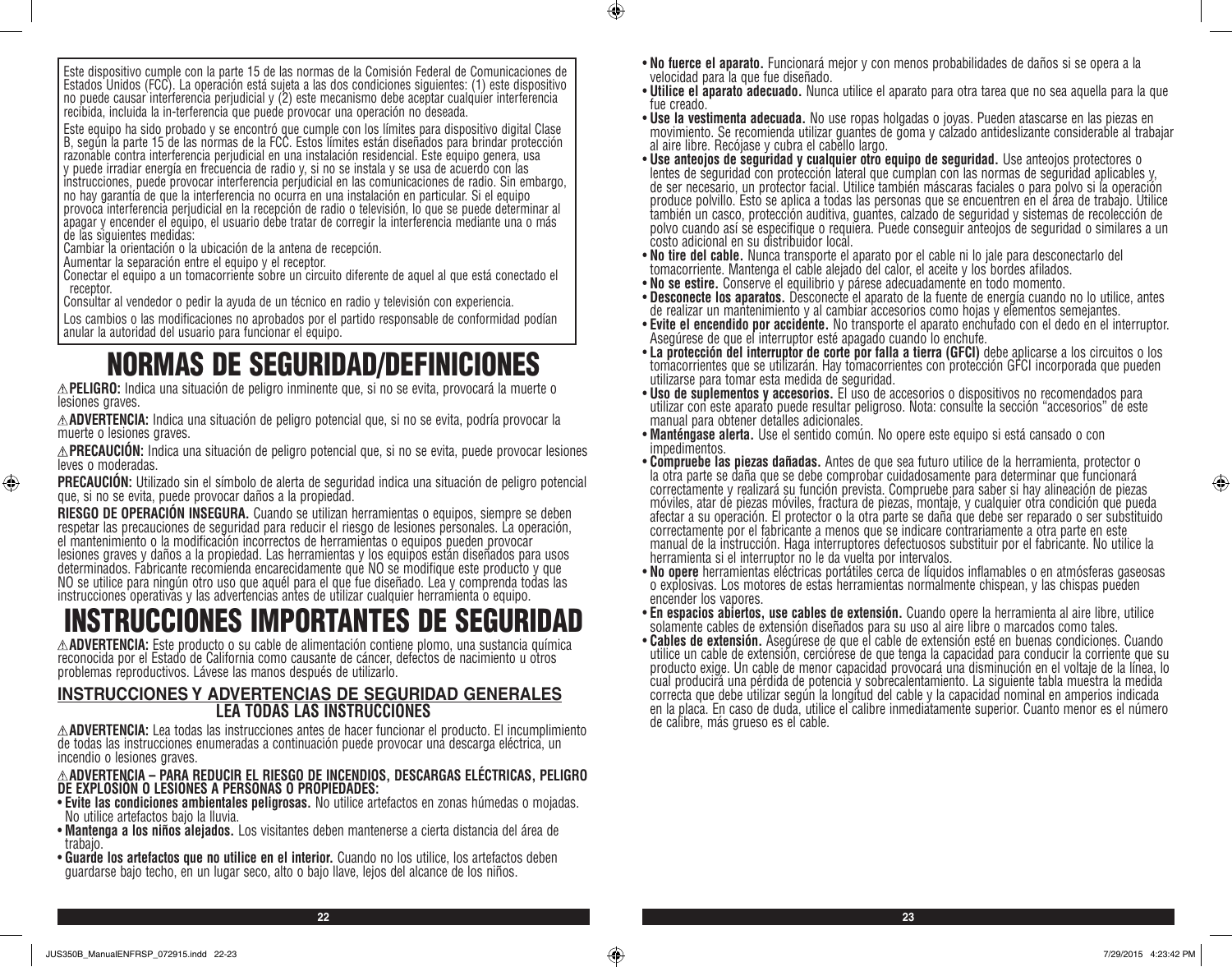Este equipo ha sido probado y se encontró que cumple con los límites para dispositivo digital Clase B, según la parte 15 de las normas de la FCC. Estos límites están diseñados para brindar protección razonable contra interferencia perjudicial en una instalación residencial. Este equipo genera, usa y puede irradiar energía en frecuencia de radio y, si no se instala y se usa de acuerdo con las instrucciones, puede provocar interferencia perjudicial en las comunicaciones de radio. Sin embargo, no hay garantía de que la interferencia no ocurra en una instalación en particular. Si el equipo provoca interferencia perjudicial en la recepción de radio o televisión, lo que se puede determinar al apagar y encender el equipo, el usuario debe tratar de corregir la interferencia mediante una o más de las siguientes medidas:

Cambiar la orientación o la ubicación de la antena de recepción.

Aumentar la separación entre el equipo y el receptor.

Conectar el equipo a un tomacorriente sobre un circuito diferente de aquel al que está conectado el receptor.

Consultar al vendedor o pedir la ayuda de un técnico en radio y televisión con experiencia.

Los cambios o las modificaciones no aprobados por el partido responsable de conformidad podían anular la autoridad del usuario para funcionar el equipo.

# NORMAS DE SEGURIDAD/DEFINICIONES

**PELIGRO:** Indica una situación de peligro inminente que, si no se evita, provocará la muerte o lesiones graves.

**ADVERTENCIA:** Indica una situación de peligro potencial que, si no se evita, podría provocar la muerte o lesiones graves.

**PRECAUCIÓN:** Indica una situación de peligro potencial que, si no se evita, puede provocar lesiones leves o moderadas.

**PRECAUCIÓN:** Utilizado sin el símbolo de alerta de seguridad indica una situación de peligro potencial que, si no se evita, puede provocar daños a la propiedad.

**RIESGO DE OPERACION INSEGURA.** Cuando se utilizan herramientas o equipos, siempre se deben<br>respetar las precauciones de seguridad para reducir el riesgo de lesiones personales. La operación, el mantenimiento o la modificación incorrectos de herramientas o equipos pueden provocar lesiones graves y daños a la propiedad. Las herramientas y los equipos están diseñados para usos determinados. Fabricante recomienda encarecidamente que NO se modifique este producto y que NO se utilice para ningún otro uso que aquél para el que fue diseñado. Lea y comprenda todas las instrucciones operativas y las advertencias antes de utilizar cualquier herramienta o equipo.

# **INSTRUCCIONES IMPORTANTES DE SEGURIDAD**<br>AADVERTENCIA: Este producto o su cable de alimentación contiene plomo, una sustancia química

reconocida por el Estado de California como causante de cáncer, defectos de nacimiento u otros problemas reproductivos. Lávese las manos después de utilizarlo.

#### **INSTRUCCIONES Y ADVERTENCIAS DE SEGURIDAD GENERALES LEA TODAS LAS INSTRUCCIONES**

**ADVERTENCIA:** Lea todas las instrucciones antes de hacer funcionar el producto. El incumplimiento de todas las instrucciones enumeradas a continuación puede provocar una descarga eléctrica, un incendio o lesiones graves.

# **ADVERTENCIA – PARA REDUCIR EL RIESGO DE INCENDIOS, DESCARGAS ELÉCTRICAS, PELIGRO DE EXPLOSIÓN O LESIONES A PERSONAS O PROPIEDADES:**

- **Evite las condiciones ambientales peligrosas.** No utilice artefactos en zonas húmedas o mojadas. No utilice artefactos bajo la lluvia.
- **Mantenga a los niños alejados.** Los visitantes deben mantenerse a cierta distancia del área de trabajo.
- **Guarde los artefactos que no utilice en el interior.** Cuando no los utilice, los artefactos deben guardarse bajo techo, en un lugar seco, alto o bajo llave, lejos del alcance de los niños.

• **No fuerce el aparato.** Funcionará mejor y con menos probabilidades de daños si se opera a la velocidad para la que fue diseñado.

 $\bigcirc$ 

- **Utilice el aparato adecuado.** Nunca utilice el aparato para otra tarea que no sea aquella para la que fue creado.
- **Use la vestimenta adecuada.** No use ropas holgadas o joyas. Pueden atascarse en las piezas en movimiento. Se recomienda utilizar guantes de goma y calzado antideslizante considerable al trabajar al aire libre. Recójase y cubra el cabello largo.
- **Use anteojos de seguridad y cualquier otro equipo de seguridad.** Use anteojos protectores o lentes de seguridad con protección lateral que cumplan con las normas de seguridad aplicables y, de ser necesario, un protector facial. Utilice también máscaras faciales o para polvo si la operación produce polvillo. Esto se aplica a todas las personas que se encuentren en el área de trabajo. Utilice también un casco, protección auditiva, guantes, calzado de seguridad y sistemas de recolección de polvo cuando así se especifique o requiera. Puede conseguir anteojos de seguridad o similares a un costo adicional en su distribuidor local.<br>• No tire del cable. Nunca transporte el aparato por el cable ni lo jale para desconectarlo del
- **No tire del cable.** Nunca transporte el aparato por el cable ni lo jale para desconectarlo del tomacorriente. Mantenga el cable alejado del calor, el aceite y los bordes afilados.
- **No se estire.** Conserve el equilibrio y párese adecuadamente en todo momento.
- **Desconecte los aparatos.** Desconecte el aparato de la fuente de energía cuando no lo utilice, antes de realizar un mantenimiento y al cambiar accesorios como hojas y elementos semejantes.
- **Evite el encendido por accidente.** No transporte el aparato enchufado con el dedo en el interruptor. Asegúrese de que el interruptor esté apagado cuando lo enchufe.
- tomacorrientes que se utilizarán. Hay tomacorrientes con protección GFCI incorporada que pueden utilizarse para tomar esta medida de seguridad.<br>• Uso de suplementos y accesorios. El uso de accesorios o dispositivos no recomendados para
- **Uso de suplementos y accesorios.** El uso de accesorios o dispositivos no recomendados para utilizar con este aparato puede resultar peligroso. Nota: consulte la sección "accesorios" de este manual para obtener detalles adicionales.
- **Manténgase alerta.** Use el sentido común. No opere este equipo si está cansado o con impedimentos.
- **Compruebe las piezas dañadas.** Antes de que sea futuro utilice de la herramienta, protector o la otra parte se daña que se debe comprobar cuidadosamente para determinar que funcionará correctamente y realizará su función prevista. Compruebe para saber si hay alineación de piezas móviles, atar de piezas móviles, fractura de piezas, montaje, y cualquier otra condición que pueda afectar a su operación. El protector o la otra parte se daña que debe ser reparado o ser substituido correctamente por el fabricante a menos que se indicare contrariamente a otra parte en este manual de la instrucción. Haga interruptores defectuosos substituir por el fabricante. No utilice la herramienta si el interruptor no le da vuelta por intervalos.<br>• **No opere** herramientas eléctricas portátiles cerca de líquidos inflamables o en atmósferas gaseosas
- **No opere** herramientas eléctricas portátiles cerca de líquidos inflamables o en atmósferas gaseosas o explosivas. Los motores de estas herramientas normalmente chispean, y las chispas pueden encender los vapores.<br>• En espacios abiertos, use cables de extensión. Cuando opere la herramienta al aire libre, utilice
- 
- solamente cables de extensión diseñados para su uso al aire libre o marcados como tales.<br>• **Cables de extensión.** Asegúrese de que el cable de extensión esté en buenas condiciones. Cuando utilice un cable de extensión, cerciórese de que tenga la capacidad para conducir la corriente que su producto exige. Un cable de menor capacidad provocará una disminución en el voltaje de la línea, lo cual producirá una pérdida de potencia y sobrecalentamiento. La siguiente tabla muestra la medida correcta que debe utilizar según la longitud del cable y la capacidad nominal en amperios indicada en la placa. En caso de duda, utilice el calibre inmediatamente superior. Cuanto menor es el número de calibre, más grueso es el cable.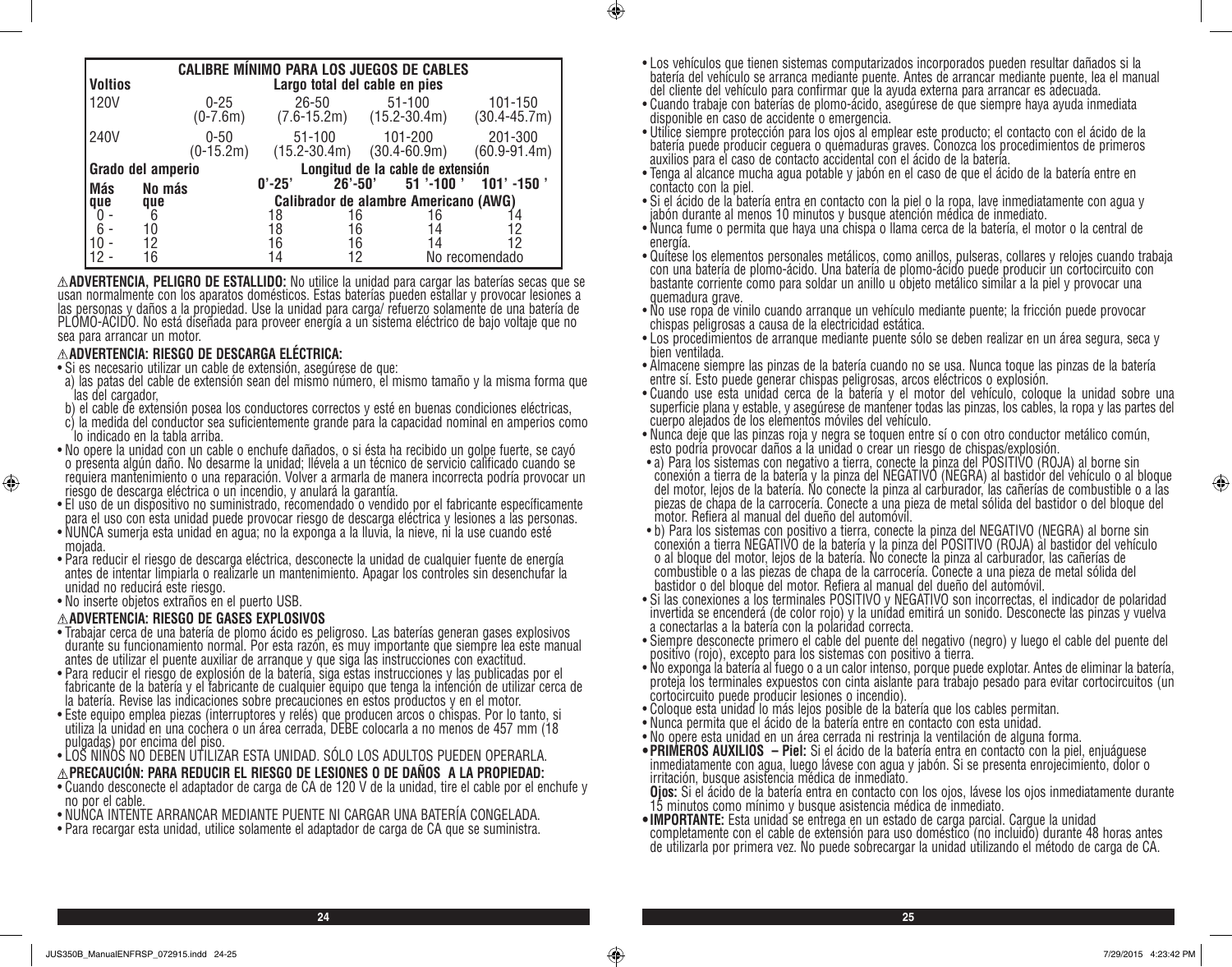|                   | <b>CALIBRE MÍNIMO PARA LOS JUEGOS DE CABLES</b> |                                       |                                   |            |                                                |                             |
|-------------------|-------------------------------------------------|---------------------------------------|-----------------------------------|------------|------------------------------------------------|-----------------------------|
| <b>Voltios</b>    |                                                 | Largo total del cable en pies         |                                   |            |                                                |                             |
| 120V              |                                                 | $0 - 25$<br>$(0-7.6m)$                | $26 - 50$                         |            | $51 - 100$<br>$(7.6 - 15.2m)$ $(15.2 - 30.4m)$ | 101-150<br>$(30.4 - 45.7m)$ |
| 240V              |                                                 | $0 - 50$<br>$(0-15.2m)$               | $51 - 100$<br>$(15.2 - 30.4m)$    |            | 101-200<br>$(30.4 - 60.9m)$                    | 201-300<br>$(60.9 - 91.4m)$ |
| Grado del amperio |                                                 |                                       | Longitud de la cable de extensión |            |                                                |                             |
| <b>Más</b>        | No más                                          |                                       | $0' - 25'$                        | $26'$ -50' | $51$ '-100 '                                   | $101'$ -150 $^{\prime}$     |
| que               | que                                             | Calibrador de alambre Americano (AWG) |                                   |            |                                                |                             |
|                   | 6                                               |                                       | 18                                | 16         | 16                                             |                             |
| 6                 | 10                                              |                                       | 18                                | 16         | 14                                             | 12                          |
|                   | 12                                              |                                       | 16                                | 16         | 14                                             | 12                          |
|                   | 16                                              |                                       | 14                                |            |                                                | No recomendado              |

**ADVERTENCIA, PELIGRO DE ESTALLIDO:** No utilice la unidad para cargar las baterías secas que se usan normalmente con los aparatos domésticos. Estas baterías pueden estallar y provocar lesiones a las personas y daños a la propiedad. Use la unidad para carga/ refuerzo solamente de una batería de PLOMO-ÁCIDO. No está diseñada para proveer energía a un sistema eléctrico de bajo voltaje que no sea para arrancar un motor.

#### **ADVERTENCIA: RIESGO DE DESCARGA ELÉCTRICA:**

- Si es necesario utilizar un cable de extensión, asegúrese de que:
- a) las patas del cable de extensión sean del mismo número, el mismo tamaño y la misma forma que las del cargador,
- b) el cable de extensión posea los conductores correctos y esté en buenas condiciones eléctricas,
- c) la medida del conductor sea suficientemente grande para la capacidad nominal en amperios como lo indicado en la tabla arriba.
- No opere la unidad con un cable o enchufe dañados, o si ésta ha recibido un golpe fuerte, se cayó o presenta algún daño. No desarme la unidad; llévela a un técnico de servicio calificado cuando se requiera mantenimiento o una reparación. Volver a armarla de manera incorrecta podría provocar un riesgo de descarga eléctrica o un incendio, y anulará la garantía.
- El uso de un dispositivo no suministrado, recomendado o vendido por el fabricante específicamente para el uso con esta unidad puede provocar riesgo de descarga eléctrica y lesiones a las personas.
- NUNCA sumerja esta unidad en agua; no la exponga a la lluvia, la nieve, ni la use cuando esté mojada.
- Para reducir el riesgo de descarga eléctrica, desconecte la unidad de cualquier fuente de energía antes de intentar limpiarla o realizarle un mantenimiento. Apagar los controles sin desenchufar la unidad no reducirá este riesgo.
- No inserte objetos extraños en el puerto USB.

⊕

#### **ADVERTENCIA: RIESGO DE GASES EXPLOSIVOS**

- Trabajar cerca de una batería de plomo ácido es peligroso. Las baterías generan gases explosivos durante su funcionamiento normal. Por esta razón, es muy importante que siempre lea este manual antes de utilizar el puente auxiliar de arranque y que siga las instrucciones con exactitud.
- Para reducir el riesgo de explosión de la batería, siga estas instrucciones y las publicadas por el fabricante de la batería y el fabricante de cualquier equipo que tenga la intención de utilizar cerca de la batería. Revise las indicaciones sobre precauciones en estos productos y en el motor.
- Este equipo emplea piezas (interruptores y relés) que producen arcos o chispas. Por lo tanto, si utiliza la unidad en una cochera o un área cerrada, DEBE colocarla a no menos de 457 mm (18 pulgadas) por encima del piso.
- LOS NIÑOS NO DEBEN UTILIZAR ESTA UNIDAD. SÓLO LOS ADULTOS PUEDEN OPERARLA.
- **PRECAUCIÓN: PARA REDUCIR EL RIESGO DE LESIONES O DE DAÑOS A LA PROPIEDAD:**
- Cuando desconecte el adaptador de carga de CA de 120 V de la unidad, tire el cable por el enchufe y no por el cable.
- NUNCA INTENTE ARRANCAR MEDIANTE PUENTE NI CARGAR UNA BATERÍA CONGELADA.
- Para recargar esta unidad, utilice solamente el adaptador de carga de CA que se suministra.
- Los vehículos que tienen sistemas computarizados incorporados pueden resultar dañados si la batería del vehículo se arranca mediante puente. Antes de arrancar mediante puente, lea el manual del cliente del vehículo para confirmar que la ayuda externa para arrancar es adecuada.
- Cuando trabaje con baterías de plomo-ácido, asegúrese de que siempre haya ayuda inmediata disponible en caso de accidente o emergencia.

 $\bigcirc$ 

- Utilice siempre protección para los ojos al emplear este producto; el contacto con el ácido de la batería puede producir ceguera o quemaduras graves. Conozca los procedimientos de primeros auxilios para el caso de contacto accidental con el ácido de la batería.
- Tenga al alcance mucha agua potable y jabón en el caso de que el ácido de la batería entre en contacto con la piel.
- Si el ácido de la batería entra en contacto con la piel o la ropa, lave inmediatamente con agua y jabón durante al menos 10 minutos y busque atención médica de inmediato.
- Nunca fume o permita que haya una chispa o llama cerca de la batería, el motor o la central de energía.
- Quítese los elementos personales metálicos, como anillos, pulseras, collares y relojes cuando trabaja con una batería de plomo-ácido. Una batería de plomo-ácido puede producir un cortocircuito con bastante corriente como para soldar un anillo u objeto metálico similar a la piel y provocar una quemadura grave.
- No use ropa de vinilo cuando arranque un vehículo mediante puente; la fricción puede provocar chispas peligrosas a causa de la electricidad estática.
- Los procedimientos de arranque mediante puente sólo se deben realizar en un área segura, seca y bien ventilada.
- Almacene siempre las pinzas de la batería cuando no se usa. Nunca toque las pinzas de la batería entre sí. Esto puede generar chispas peligrosas, arcos eléctricos o explosión.
- Cuando use esta unidad cerca de la batería y el motor del vehículo, coloque la unidad sobre una superficie plana y estable, y asegúrese de mantener todas las pinzas, los cables, la ropa y las partes del cuerpo alejados de los elementos móviles del vehículo.
- Nunca deje que las pinzas roja y negra se toquen entre sí o con otro conductor metálico común, esto podría provocar daños a la unidad o crear un riesgo de chispas/explosión.
- a) Para los sistemas con negativo a tierra, conecte la pinza del POSITIVO (ROJA) al borne sin conexión a tierra de la batería y la pinza del NEGATIVO (NEGRA) al bastidor del vehículo o al bloque del motor, lejos de la batería. No conecte la pinza al carburador, las cañerías de combustible o a las piezas de chapa de la carrocería. Conecte a una pieza de metal sólida del bastidor o del bloque del motor. Refiera al manual del dueño del automóvil.
- b) Para los sistemas con positivo a tierra, conecte la pinza del NEGATIVO (NEGRA) al borne sin conexión a tierra NEGATIVO de la batería y la pinza del POSITIVO (ROJA) al bastidor del vehículo o al bloque del motor, lejos de la batería. No conecte la pinza al carburador, las cañerías de combustible o a las piezas de chapa de la carrocería. Conecte a una pieza de metal sólida del bastidor o del bloque del motor. Refiera al manual del dueño del automóvil.
- Si las conexiones a los terminales POSITIVO y NEGATIVO son incorrectas, el indicador de polaridad invertida se encenderá (de color rojo) y la unidad emitirá un sonido. Desconecte las pinzas y vuelva a conectarlas a la batería con la polaridad correcta.
- Siempre desconecte primero el cable del puente del negativo (negro) y luego el cable del puente del positivo (rojo), excepto para los sistemas con positivo a tierra.
- No exponga la batería al fuego o a un calor intenso, porque puede explotar. Antes de eliminar la batería, proteja los terminales expuestos con cinta aislante para trabajo pesado para evitar cortocircuitos (un cortocircuito puede producir lesiones o incendio).
- Coloque esta unidad lo más lejos posible de la batería que los cables permitan.
- Nunca permita que el ácido de la batería entre en contacto con esta unidad.
- No opere esta unidad en un área cerrada ni restrinja la ventilación de alguna forma.
- **• PRIMEROS AUXILIOS Piel:** Si el ácido de la batería entra en contacto con la piel, enjuáguese inmediatamente con agua, luego lávese con agua y jabón. Si se presenta enrojecimiento, dolor o irritación, busque asistencia médica de inmediato.

**Ojos:** Si el ácido de la batería entra en contacto con los ojos, lávese los ojos inmediatamente durante<br>15 minutos como mínimo y busque asistencia médica de inmediato.<br>•IMPORTANTE: Esta unidad se entrega en un estado de c

**• IMPORTANTE:** Esta unidad se entrega en un estado de carga parcial. Cargue la unidad completamente con el cable de extensión para uso doméstico (no incluido) durante 48 horas antes de utilizarla por primera vez. No puede sobrecargar la unidad utilizando el método de carga de CA.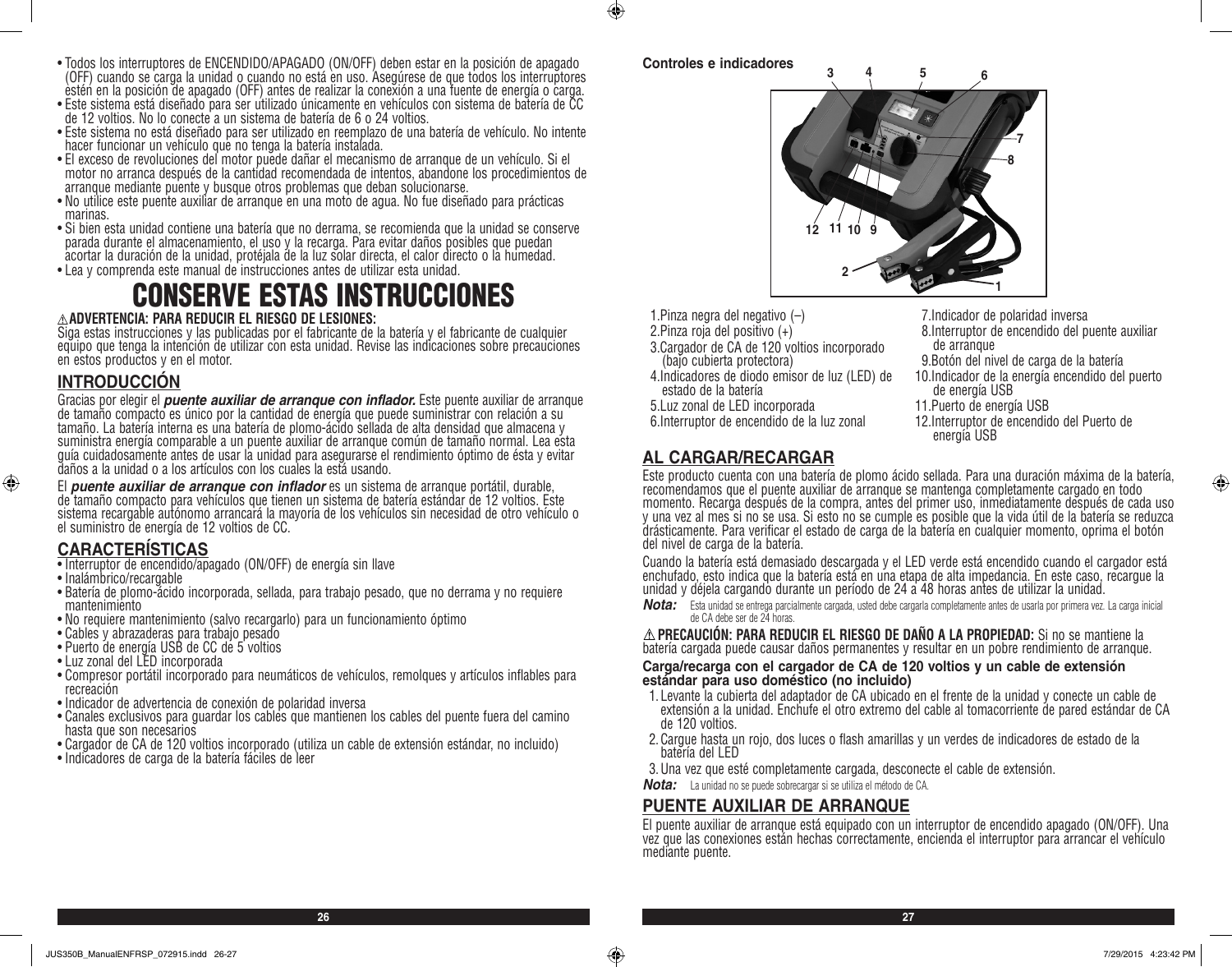- Todos los interruptores de ENCENDIDO/APAGADO (ON/OFF) deben estar en la posición de apagado (OFF) cuando se carga la unidad o cuando no está en uso. Asegúrese de que todos los interruptores estén en la posición de apagado (OFF) antes de realizar la conexión a una fuente de energía o carga.
- Este sistema está diseñado para ser utilizado únicamente en vehículos con sistema de batería de CC de 12 voltios. No lo conecte a un sistema de batería de 6 o 24 voltios.
- Este sistema no está diseñado para ser utilizado en reemplazo de una batería de vehículo. No intente hacer funcionar un vehículo que no tenga la batería instalada.
- El exceso de revoluciones del motor puede dañar el mecanismo de arranque de un vehículo. Si el motor no arranca después de la cantidad recomendada de intentos, abandone los procedimientos de arranque mediante puente y busque otros problemas que deban solucionarse.
- No utilice este puente auxiliar de arranque en una moto de agua. No fue diseñado para prácticas marinas.
- Si bien esta unidad contiene una batería que no derrama, se recomienda que la unidad se conserve parada durante el almacenamiento, el uso y la recarga. Para evitar daños posibles que puedan acortar la duración de la unidad, protéjala de la luz solar directa, el calor directo o la humedad.
- Lea y comprenda este manual de instrucciones antes de utilizar esta unidad.

# CONSERVE ESTAS INSTRUCCIONES

#### **ADVERTENCIA: PARA REDUCIR EL RIESGO DE LESIONES:**

Siga estas instrucciones y las publicadas por el fabricante de la batería y el fabricante de cualquier equipo que tenga la intención de utilizar con esta unidad. Revise las indicaciones sobre precauciones en estos productos y en el motor.

### **INTRODUCCIÓN**

⊕

Gracias por elegir el *puente auxiliar de arranque con inflador.* Este puente auxiliar de arranque<br>de tamaño compacto es único por la cantidad de energía que puede suministrar con relación a su tamaño. La batería interna es una batería de plomo-ácido sellada de alta densidad que almacena y suministra energía comparable a un puente auxiliar de arranque común de tamaño normal. Lea esta guía cuidadosamente antes de usar la unidad para asegurarse el rendimiento óptimo de ésta y evitar daños a la unidad o a los artículos con los cuales la está usando.

El *puente auxiliar de arranque con inflador* es un sistema de arranque portátil, durable, de tamaño compacto para vehículos que tienen un sistema de batería estándar de 12 voltios. Este sistema recargable autónomo arrancará la mayoría de los vehículos sin necesidad de otro vehículo o el suministro de energía de 12 voltios de CC.

# **CARACTERÍSTICAS**

- Interruptor de encendido/apagado (ON/OFF) de energía sin llave
- Inalámbrico/recargable
- Batería de plomo-ácido incorporada, sellada, para trabajo pesado, que no derrama y no requiere mantenimiento
- No requiere mantenimiento (salvo recargarlo) para un funcionamiento óptimo
- Cables y abrazaderas para trabajo pesado
- Puerto de energía USB de CC de 5 voltios
- Luz zonal del LED incorporada
- Compresor portátil incorporado para neumáticos de vehículos, remolques y artículos inflables para recreación
- Indicador de advertencia de conexión de polaridad inversa
- Canales exclusivos para guardar los cables que mantienen los cables del puente fuera del camino hasta que son necesarios
- Cargador de CA de 120 voltios incorporado (utiliza un cable de extensión estándar, no incluido)
- Indicadores de carga de la batería fáciles de leer



 $\bigcirc$ 



- 1.Pinza negra del negativo (–)
- 2.Pinza roja del positivo (+)
- 3.Cargador de CA de 120 voltios incorporado (bajo cubierta protectora)
- 4.Indicadores de diodo emisor de luz (LED) de estado de la batería
- 5.Luz zonal de LED incorporada
- 6.Interruptor de encendido de la luz zonal
	-
- 7.Indicador de polaridad inversa 8.Interruptor de encendido del puente auxiliar
- de arranque
- 9.Botón del nivel de carga de la batería
- 10.Indicador de la energía encendido del puerto de energía USB
- 11.Puerto de energía USB
- 12.Interruptor de encendido del Puerto de energía USB

# **AL CARGAR/RECARGAR**

Este producto cuenta con una batería de plomo ácido sellada. Para una duración máxima de la batería, recomendamos que el puente auxiliar de arranque se mantenga completamente cargado en todo momento. Recarga después de la compra, antes del primer uso, inmediatamente después de cada uso y una vez al mes si no se usa. Si esto no se cumple es posible que la vida útil de la batería se reduzca drásticamente. Para verificar el estado de carga de la batería en cualquier momento, oprima el botón del nivel de carga de la batería.

Cuando la batería está demasiado descargada y el LED verde está encendido cuando el cargador está enchufado, esto indica que la batería está en una etapa de alta impedancia. En este caso, recargue la unidad y déjela cargando durante un período de 24 a 48 horas antes de utilizar la unidad.

*Nota:* Esta unidad se entrega parcialmente cargada, usted debe cargarla completamente antes de usarla por primera vez. La carga inicial de CA debe ser de 24 horas.

**PRECAUCIÓN: PARA REDUCIR EL RIESGO DE DAÑO A LA PROPIEDAD:** Si no se mantiene la batería cargada puede causar daños permanentes y resultar en un pobre rendimiento de arranque.

**Carga/recarga con el cargador de CA de 120 voltios y un cable de extensión estándar para uso doméstico (no incluido)**

- 1. Levante la cubierta del adaptador de CA ubicado en el frente de la unidad y conecte un cable de extensión a la unidad. Enchufe el otro extremo del cable al tomacorriente de pared estándar de CA de 120 voltios.
- 2.Cargue hasta un rojo, dos luces o flash amarillas y un verdes de indicadores de estado de la batería del LED
- 3.Una vez que esté completamente cargada, desconecte el cable de extensión.
- *Nota:* La unidad no se puede sobrecargar si se utiliza el método de CA.

#### **PUENTE AUXILIAR DE ARRANQUE**

El puente auxiliar de arranque está equipado con un interruptor de encendido apagado (ON/OFF). Una vez que las conexiones están hechas correctamente, encienda el interruptor para arrancar el vehículo mediante puente.

**26 27**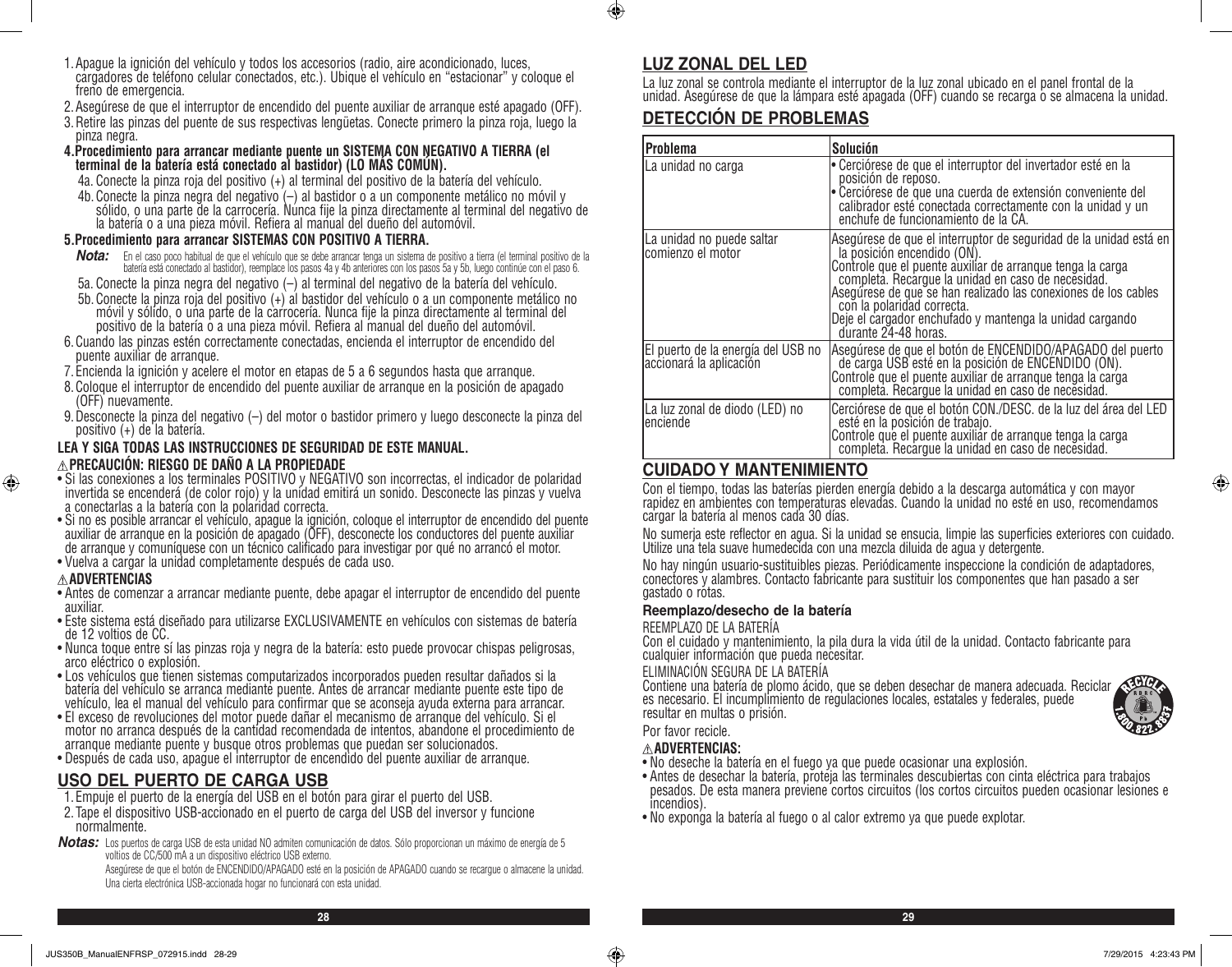- 1.Apague la ignición del vehículo y todos los accesorios (radio, aire acondicionado, luces, cargadores de teléfono celular conectados, etc.). Ubique el vehículo en "estacionar" y coloque el freno de emergencia.
- 2.Asegúrese de que el interruptor de encendido del puente auxiliar de arranque esté apagado (OFF).
- 3.Retire las pinzas del puente de sus respectivas lengüetas. Conecte primero la pinza roja, luego la pinza negra.
- **4.Procedimiento para arrancar mediante puente un SISTEMA CON NEGATIVO A TIERRA (el terminal de la batería está conectado al bastidor) (LO MÁS COMÚN).**
	- 4a. Conecte la pinza roja del positivo (+) al terminal del positivo de la batería del vehículo.
- 4b. Conecte la pinza negra del negativo (–) al bastidor o a un componente metálico no móvil y sólido, o una parte de la carrocería. Nunca fije la pinza directamente al terminal del negativo de la batería o a una pieza móvil. Refiera al manual del dueño del automóvil.

#### **5.Procedimiento para arrancar SISTEMAS CON POSITIVO A TIERRA.**

- *Nota:* En el caso poco habitual de que el vehículo que se debe arrancar tenga un sistema de positivo a tierra (el terminal positivo de la batería está conectado al bastidor), reemplace los pasos 4a y 4b anteriores con los pasos 5a y 5b, luego continúe con el paso 6.
- 5a. Conecte la pinza negra del negativo (–) al terminal del negativo de la batería del vehículo.
- 5b.Conecte la pinza roja del positivo (+) al bastidor del vehículo o a un componente metálico no móvil y sólido, o una parte de la carrocería. Nunca fije la pinza directamente al terminal del positivo de la batería o a una pieza móvil. Refiera al manual del dueño del automóvil.
- 6.Cuando las pinzas estén correctamente conectadas, encienda el interruptor de encendido del puente auxiliar de arranque.
- 7. Encienda la ignición y acelere el motor en etapas de 5 a 6 segundos hasta que arranque.
- 8.Coloque el interruptor de encendido del puente auxiliar de arranque en la posición de apagado (OFF) nuevamente.
- 9.Desconecte la pinza del negativo (–) del motor o bastidor primero y luego desconecte la pinza del positivo (+) de la batería.

#### **LEA Y SIGA TODAS LAS INSTRUCCIONES DE SEGURIDAD DE ESTE MANUAL. PRECAUCIÓN: RIESGO DE DAÑO A LA PROPIEDADE**

- Si las conexiones a los terminales POSITIVO y NEGATIVO son incorrectas, el indicador de polaridad invertida se encenderá (de color rojo) y la unidad emitirá un sonido. Desconecte las pinzas y vuelva a conectarlas a la batería con la polaridad correcta.
- Si no es posible arrancar el vehículo, apague la ignición, coloque el interruptor de encendido del puente auxiliar de arranque en la posición de apagado (OFF), desconecte los conductores del puente auxiliar de arranque y comuníquese con un técnico calificado para investigar por qué no arrancó el motor.
- Vuelva a cargar la unidad completamente después de cada uso.

#### **ADVERTENCIAS**

⊕

- Antes de comenzar a arrancar mediante puente, debe apagar el interruptor de encendido del puente auxiliar.
- Este sistema está diseñado para utilizarse EXCLUSIVAMENTE en vehículos con sistemas de batería de 12 voltios de CC.
- Nunca toque entre sí las pinzas roja y negra de la batería: esto puede provocar chispas peligrosas, arco eléctrico o explosión.
- Los vehículos que tienen sistemas computarizados incorporados pueden resultar dañados si la batería del vehículo se arranca mediante puente. Antes de arrancar mediante puente este tipo de vehículo, lea el manual del vehículo para confirmar que se aconseja ayuda externa para arrancar.
- El exceso de revoluciones del motor puede dañar el mecanismo de arranque del vehículo. Si el motor no arranca después de la cantidad recomendada de intentos, abandone el procedimiento de arranque mediante puente y busque otros problemas que puedan ser solucionados.
- Después de cada uso, apague el interruptor de encendido del puente auxiliar de arranque.

# **USO DEL PUERTO DE CARGA USB**

- 1. Empuje el puerto de la energía del USB en el botón para girar el puerto del USB.
- 2. Tape el dispositivo USB-accionado en el puerto de carga del USB del inversor y funcione normalmente.
- *Notas:* Los puertos de carga USB de esta unidad NO admiten comunicación de datos. Sólo proporcionan un máximo de energía de 5 voltios de CC/500 mA a un dispositivo eléctrico USB externo.

Asegúrese de que el botón de ENCENDIDO/APAGADO esté en la posición de APAGADO cuando se recargue o almacene la unidad. Una cierta electrónica USB-accionada hogar no funcionará con esta unidad.

# **LUZ ZONAL DEL LED**

 $\bigcirc$ 

La luz zonal se controla mediante el interruptor de la luz zonal ubicado en el panel frontal de la unidad. Asegúrese de que la lámpara esté apagada (OFF) cuando se recarga o se almacena la unidad.

# **DETECCIÓN DE PROBLEMAS**

| lProblema                                                     | <b>Solución</b>                                                                                                                                                                                                                                                                                                                                                                                          |
|---------------------------------------------------------------|----------------------------------------------------------------------------------------------------------------------------------------------------------------------------------------------------------------------------------------------------------------------------------------------------------------------------------------------------------------------------------------------------------|
| La unidad no carga                                            | Cerciórese de que el interruptor del invertador esté en la<br>posición de reposo.<br>Cerciórese de que una cuerda de extensión conveniente del<br>calibrador esté conectada correctamente con la unidad y un<br>enchufe de funcionamiento de la CA.                                                                                                                                                      |
| La unidad no puede saltar<br>comienzo el motor                | Asegúrese de que el interruptor de seguridad de la unidad está en<br>la posición encendido (ON).<br>Controle que el puente auxilíar de arranque tenga la carga<br>completa. Recargue la unidad en caso de necesidad.<br>Asegúrese de que se han realizado las conexiones de los cables<br>con la polaridad correcta.<br>Deje el cargador enchufado y mantenga la unidad cargando<br>durante 24-48 horas. |
| El puerto de la energía del USB no<br>accionará la aplicación | Asegúrese de que el botón de ENCENDIDO/APAGADO del puerto<br>de carga USB esté en la posición de ENCENDIDO (ON).<br>Controle que el puente auxiliar de arranque tenga la`carga<br>completa. Recargue la unidad en caso de necesidad.                                                                                                                                                                     |
| La luz zonal de diodo (LED) no<br>lenciende                   | Cerciórese de que el botón CON./DESC. de la luz del área del LED<br>esté en la posición de trabajo.<br>Controle que el puente auxiliár de arranque tenga la carga<br>completa. Recargue la unidad en caso de necesidad.                                                                                                                                                                                  |

# **CUIDADO Y MANTENIMIENTO**

Con el tiempo, todas las baterías pierden energía debido a la descarga automática y con mayor rapidez en ambientes con temperaturas elevadas. Cuando la unidad no esté en uso, recomendamos cargar la batería al menos cada 30 días.

No sumerja este reflector en agua. Si la unidad se ensucia, limpie las superficies exteriores con cuidado. Utilize una tela suave humedecida con una mezcla diluida de agua y detergente.

No hay ningún usuario-sustituibles piezas. Periódicamente inspeccione la condición de adaptadores, conectores y alambres. Contacto fabricante para sustituir los componentes que han pasado a ser gastado o rotas.

#### **Reemplazo/desecho de la batería**

#### REEMPLAZO DE LA BATERÍA

Con el cuidado y mantenimiento, la pila dura la vida útil de la unidad. Contacto fabricante para cualquier información que pueda necesitar.

#### ELIMINACIÓN SEGURA DE LA BATERÍA

Contiene una batería de plomo ácido, que se deben desechar de manera adecuada. Reciclar es necesario. El incumplimiento de regulaciones locales, estatales y federales, puede resultar en multas o prisión.



⊕

#### Por favor recicle. **ADVERTENCIAS:**

- No deseche la batería en el fuego ya que puede ocasionar una explosión.
- Antes de desechar la batería, proteja las terminales descubiertas con cinta eléctrica para trabajos pesados. De esta manera previene cortos circuitos (los cortos circuitos pueden ocasionar lesiones e incendios).
- No exponga la batería al fuego o al calor extremo ya que puede explotar.

**28 29**